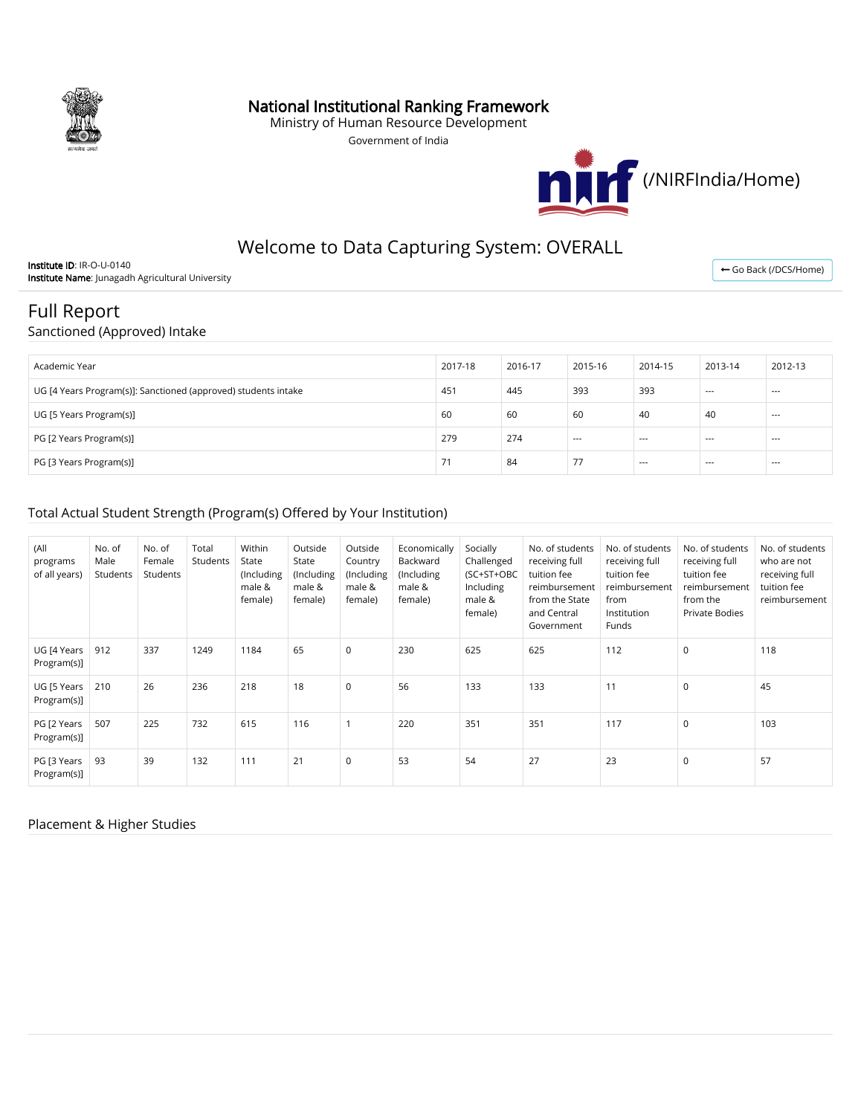

### National Institutional Ranking Framework

Ministry of Human Resource Development

Government of India



# Welcome to Data Capturing System: OVERALL

Institute ID: IR-O-U-0140 Institute Name: Junagadh Agricultural University

← [Go Back \(/DCS/Home\)](https://login.nirfindia.org/DCS/Home)

# Full Report

#### Sanctioned (Approved) Intake

| Academic Year                                                  | 2017-18 | 2016-17 | 2015-16 | 2014-15 | 2013-14 | 2012-13 |
|----------------------------------------------------------------|---------|---------|---------|---------|---------|---------|
| UG [4 Years Program(s)]: Sanctioned (approved) students intake | 451     | 445     | 393     | 393     | $--$    | $- - -$ |
| UG [5 Years Program(s)]                                        | 60      | 60      | 60      | 40      | 40      | $- - -$ |
| PG [2 Years Program(s)]                                        | 279     | 274     | $---$   | $- - -$ | $--$    | $---$   |
| PG [3 Years Program(s)]                                        |         | 84      | 77      | $- - -$ | $--$    | $---$   |

#### Total Actual Student Strength (Program(s) Offered by Your Institution)

| (All<br>programs<br>of all years) | No. of<br>Male<br>Students | No. of<br>Female<br>Students | Total<br>Students | Within<br>State<br>(Including<br>male &<br>female) | Outside<br>State<br>(Including<br>male &<br>female) | Outside<br>Country<br>(Including<br>male &<br>female) | Economically<br>Backward<br>(Including<br>male &<br>female) | Socially<br>Challenged<br>(SC+ST+OBC<br>Including<br>male &<br>female) | No. of students<br>receiving full<br>tuition fee<br>reimbursement<br>from the State<br>and Central<br>Government | No. of students<br>receiving full<br>tuition fee<br>reimbursement<br>from<br>Institution<br>Funds | No. of students<br>receiving full<br>tuition fee<br>reimbursement<br>from the<br>Private Bodies | No. of students<br>who are not<br>receiving full<br>tuition fee<br>reimbursement |
|-----------------------------------|----------------------------|------------------------------|-------------------|----------------------------------------------------|-----------------------------------------------------|-------------------------------------------------------|-------------------------------------------------------------|------------------------------------------------------------------------|------------------------------------------------------------------------------------------------------------------|---------------------------------------------------------------------------------------------------|-------------------------------------------------------------------------------------------------|----------------------------------------------------------------------------------|
| UG [4 Years<br>Program(s)]        | 912                        | 337                          | 1249              | 1184                                               | 65                                                  | $\mathbf 0$                                           | 230                                                         | 625                                                                    | 625                                                                                                              | 112                                                                                               | $\mathbf 0$                                                                                     | 118                                                                              |
| UG [5 Years<br>Program(s)]        | 210                        | 26                           | 236               | 218                                                | 18                                                  | $\mathbf 0$                                           | 56                                                          | 133                                                                    | 133                                                                                                              | 11                                                                                                | 0                                                                                               | 45                                                                               |
| PG [2 Years<br>Program(s)]        | 507                        | 225                          | 732               | 615                                                | 116                                                 |                                                       | 220                                                         | 351                                                                    | 351                                                                                                              | 117                                                                                               | $\mathbf 0$                                                                                     | 103                                                                              |
| PG [3 Years<br>Program(s)]        | 93                         | 39                           | 132               | 111                                                | 21                                                  | $\mathbf 0$                                           | 53                                                          | 54                                                                     | 27                                                                                                               | 23                                                                                                | $\mathbf 0$                                                                                     | 57                                                                               |

#### Placement & Higher Studies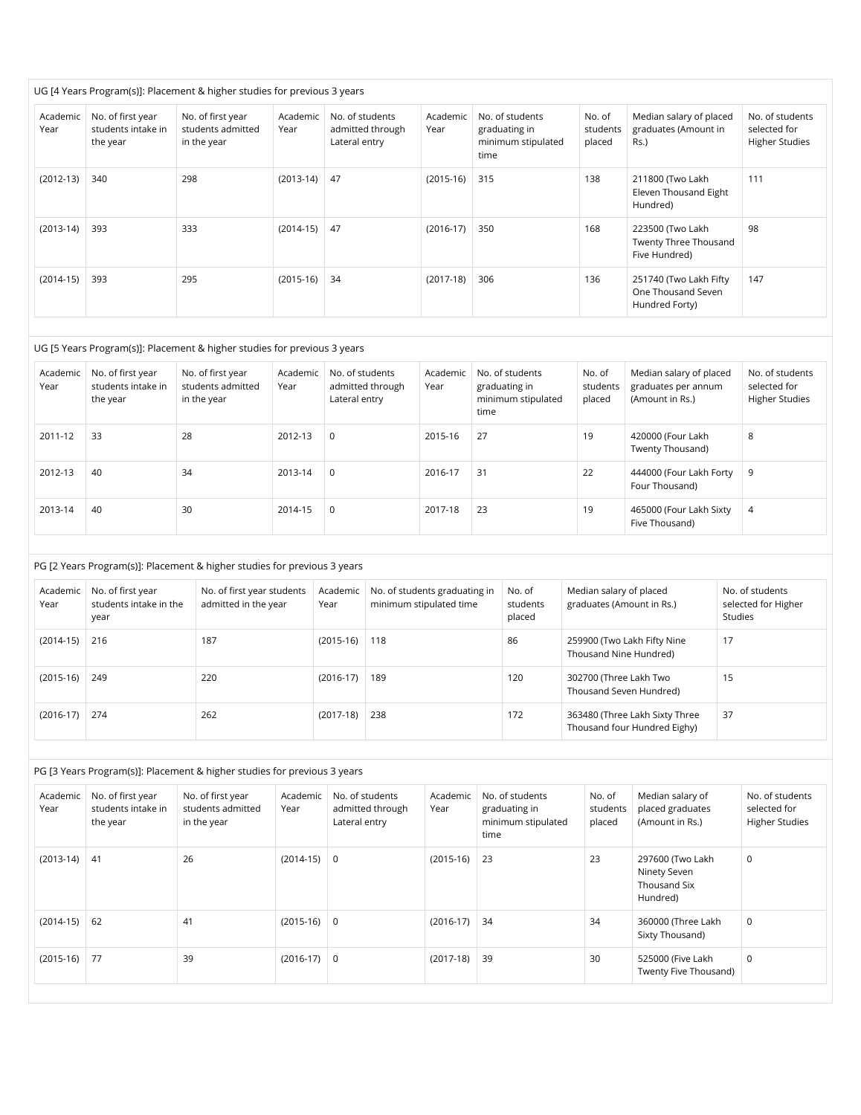|                  |                                                     | UG [4 Years Program(s)]: Placement & higher studies for previous 3 years |                  |                                                      |                  |                                                                |                              |                                                                |                                                          |
|------------------|-----------------------------------------------------|--------------------------------------------------------------------------|------------------|------------------------------------------------------|------------------|----------------------------------------------------------------|------------------------------|----------------------------------------------------------------|----------------------------------------------------------|
| Academic<br>Year | No. of first year<br>students intake in<br>the year | No. of first year<br>students admitted<br>in the year                    | Academic<br>Year | No. of students<br>admitted through<br>Lateral entry | Academic<br>Year | No. of students<br>graduating in<br>minimum stipulated<br>time | No. of<br>students<br>placed | Median salary of placed<br>graduates (Amount in<br>Rs.)        | No. of students<br>selected for<br><b>Higher Studies</b> |
| $(2012-13)$      | 340                                                 | 298                                                                      | $(2013-14)$      | 47                                                   | $(2015-16)$      | 315                                                            | 138                          | 211800 (Two Lakh<br>Eleven Thousand Eight<br>Hundred)          | 111                                                      |
| $(2013-14)$      | 393                                                 | 333                                                                      | $(2014-15)$      | 47                                                   | $(2016-17)$      | 350                                                            | 168                          | 223500 (Two Lakh<br>Twenty Three Thousand<br>Five Hundred)     | 98                                                       |
| $(2014-15)$      | 393                                                 | 295                                                                      | $(2015-16)$      | -34                                                  | $(2017-18)$      | 306                                                            | 136                          | 251740 (Two Lakh Fifty<br>One Thousand Seven<br>Hundred Forty) | 147                                                      |

| UG [5 Years Program(s)]: Placement & higher studies for previous 3 years |
|--------------------------------------------------------------------------|
|--------------------------------------------------------------------------|

| Academic<br>Year | No. of first year<br>students intake in<br>the year | No. of first year<br>students admitted<br>in the year | Academic<br>Year | No. of students<br>admitted through<br>Lateral entry | Academic<br>Year | No. of students<br>graduating in<br>minimum stipulated<br>time | No. of<br>students<br>placed | Median salary of placed<br>graduates per annum<br>(Amount in Rs.) | No. of students<br>selected for<br><b>Higher Studies</b> |
|------------------|-----------------------------------------------------|-------------------------------------------------------|------------------|------------------------------------------------------|------------------|----------------------------------------------------------------|------------------------------|-------------------------------------------------------------------|----------------------------------------------------------|
| 2011-12          | 33                                                  | 28                                                    | 2012-13          | 0                                                    | 2015-16          | 27                                                             | 19                           | 420000 (Four Lakh<br>Twenty Thousand)                             | 8                                                        |
| 2012-13          | 40                                                  | 34                                                    | 2013-14          | $\Omega$                                             | 2016-17          | 31                                                             | 22                           | 444000 (Four Lakh Forty<br>Four Thousand)                         | 9                                                        |
| 2013-14          | 40                                                  | 30                                                    | 2014-15          | $\mathbf 0$                                          | 2017-18          | 23                                                             | 19                           | 465000 (Four Lakh Sixty<br>Five Thousand)                         | $\overline{4}$                                           |

|  |  |  | PG [2 Years Program(s)]: Placement & higher studies for previous 3 years |
|--|--|--|--------------------------------------------------------------------------|
|--|--|--|--------------------------------------------------------------------------|

| Academic<br>Year | No. of first year<br>students intake in the<br>year | No. of first year students<br>admitted in the year | Academic<br>Year | No. of students graduating in<br>minimum stipulated time | No. of<br>students<br>placed | Median salary of placed<br>graduates (Amount in Rs.)           | No. of students<br>selected for Higher<br>Studies |
|------------------|-----------------------------------------------------|----------------------------------------------------|------------------|----------------------------------------------------------|------------------------------|----------------------------------------------------------------|---------------------------------------------------|
| $(2014-15)$      | 216                                                 | 187                                                | $(2015-16)$      | 118                                                      | 86                           | 259900 (Two Lakh Fifty Nine<br>Thousand Nine Hundred)          | 17                                                |
| $(2015-16)$      | 249                                                 | 220                                                | $(2016-17)$      | 189                                                      | 120                          | 302700 (Three Lakh Two<br>Thousand Seven Hundred)              | 15                                                |
| $(2016-17)$      | 274                                                 | 262                                                | $(2017-18)$      | 238                                                      | 172                          | 363480 (Three Lakh Sixty Three<br>Thousand four Hundred Eighy) | 37                                                |

PG [3 Years Program(s)]: Placement & higher studies for previous 3 years

| Academic<br>Year | No. of first year<br>students intake in<br>the year | No. of first year<br>students admitted<br>in the year | Academic<br>Year | No. of students<br>admitted through<br>Lateral entry | Academic<br>Year | No. of students<br>graduating in<br>minimum stipulated<br>time | No. of<br>students<br>placed | Median salary of<br>placed graduates<br>(Amount in Rs.)      | No. of students<br>selected for<br><b>Higher Studies</b> |
|------------------|-----------------------------------------------------|-------------------------------------------------------|------------------|------------------------------------------------------|------------------|----------------------------------------------------------------|------------------------------|--------------------------------------------------------------|----------------------------------------------------------|
| $(2013-14)$      | 41                                                  | 26                                                    | $(2014-15)$ 0    |                                                      | $(2015-16)$      | 23                                                             | 23                           | 297600 (Two Lakh<br>Ninety Seven<br>Thousand Six<br>Hundred) | 0                                                        |
| $(2014-15)$      | 62                                                  | 41                                                    | $(2015-16)$ 0    |                                                      | $(2016-17)$ 34   |                                                                | 34                           | 360000 (Three Lakh<br>Sixty Thousand)                        | $\mathbf 0$                                              |
| $(2015-16)$      | 77                                                  | 39                                                    | $(2016-17)$ 0    |                                                      | $(2017-18)$ 39   |                                                                | 30                           | 525000 (Five Lakh<br>Twenty Five Thousand)                   | 0                                                        |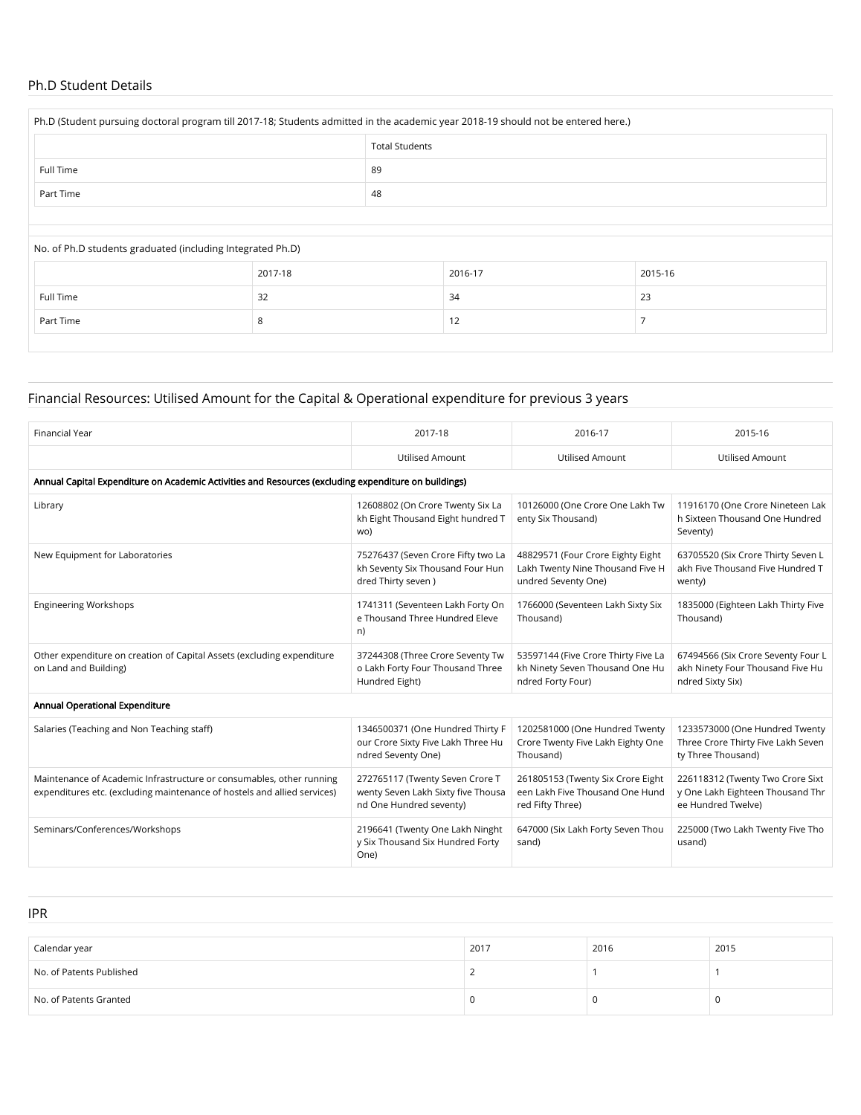#### Ph.D Student Details

| Ph.D (Student pursuing doctoral program till 2017-18; Students admitted in the academic year 2018-19 should not be entered here.) |    |  |  |  |  |
|-----------------------------------------------------------------------------------------------------------------------------------|----|--|--|--|--|
| <b>Total Students</b>                                                                                                             |    |  |  |  |  |
| Full Time                                                                                                                         | 89 |  |  |  |  |
| 48<br>Part Time                                                                                                                   |    |  |  |  |  |
|                                                                                                                                   |    |  |  |  |  |

#### No. of Ph.D students graduated (including Integrated Ph.D)

|           | 2017-18 | 2016-17            | 2015-16 |
|-----------|---------|--------------------|---------|
| Full Time | 32      | 34                 | 23      |
| Part Time |         | $1^{\circ}$<br>14. |         |

## Financial Resources: Utilised Amount for the Capital & Operational expenditure for previous 3 years

| <b>Financial Year</b>                                                                                                                            | 2017-18                                                                                              | 2016-17                                                                                      | 2015-16                                                                                    |  |  |  |  |  |  |
|--------------------------------------------------------------------------------------------------------------------------------------------------|------------------------------------------------------------------------------------------------------|----------------------------------------------------------------------------------------------|--------------------------------------------------------------------------------------------|--|--|--|--|--|--|
|                                                                                                                                                  |                                                                                                      |                                                                                              |                                                                                            |  |  |  |  |  |  |
|                                                                                                                                                  | <b>Utilised Amount</b>                                                                               | Utilised Amount                                                                              | <b>Utilised Amount</b>                                                                     |  |  |  |  |  |  |
|                                                                                                                                                  | Annual Capital Expenditure on Academic Activities and Resources (excluding expenditure on buildings) |                                                                                              |                                                                                            |  |  |  |  |  |  |
| Library                                                                                                                                          | 12608802 (On Crore Twenty Six La<br>kh Eight Thousand Eight hundred T<br>wo)                         | 10126000 (One Crore One Lakh Tw<br>enty Six Thousand)                                        | 11916170 (One Crore Nineteen Lak<br>h Sixteen Thousand One Hundred<br>Seventy)             |  |  |  |  |  |  |
| New Equipment for Laboratories                                                                                                                   | 75276437 (Seven Crore Fifty two La<br>kh Seventy Six Thousand Four Hun<br>dred Thirty seven)         | 48829571 (Four Crore Eighty Eight<br>Lakh Twenty Nine Thousand Five H<br>undred Seventy One) | 63705520 (Six Crore Thirty Seven L<br>akh Five Thousand Five Hundred T<br>wenty)           |  |  |  |  |  |  |
| <b>Engineering Workshops</b>                                                                                                                     | 1741311 (Seventeen Lakh Forty On<br>e Thousand Three Hundred Eleve<br>n)                             | 1766000 (Seventeen Lakh Sixty Six<br>Thousand)                                               | 1835000 (Eighteen Lakh Thirty Five<br>Thousand)                                            |  |  |  |  |  |  |
| Other expenditure on creation of Capital Assets (excluding expenditure<br>on Land and Building)                                                  | 37244308 (Three Crore Seventy Tw<br>o Lakh Forty Four Thousand Three<br>Hundred Eight)               | 53597144 (Five Crore Thirty Five La<br>kh Ninety Seven Thousand One Hu<br>ndred Forty Four)  | 67494566 (Six Crore Seventy Four L<br>akh Ninety Four Thousand Five Hu<br>ndred Sixty Six) |  |  |  |  |  |  |
| Annual Operational Expenditure                                                                                                                   |                                                                                                      |                                                                                              |                                                                                            |  |  |  |  |  |  |
| Salaries (Teaching and Non Teaching staff)                                                                                                       | 1346500371 (One Hundred Thirty F<br>our Crore Sixty Five Lakh Three Hu<br>ndred Seventy One)         | 1202581000 (One Hundred Twenty<br>Crore Twenty Five Lakh Eighty One<br>Thousand)             | 1233573000 (One Hundred Twenty<br>Three Crore Thirty Five Lakh Seven<br>ty Three Thousand) |  |  |  |  |  |  |
| Maintenance of Academic Infrastructure or consumables, other running<br>expenditures etc. (excluding maintenance of hostels and allied services) | 272765117 (Twenty Seven Crore T<br>wenty Seven Lakh Sixty five Thousa<br>nd One Hundred seventy)     | 261805153 (Twenty Six Crore Eight<br>een Lakh Five Thousand One Hund<br>red Fifty Three)     | 226118312 (Twenty Two Crore Sixt<br>y One Lakh Eighteen Thousand Thr<br>ee Hundred Twelve) |  |  |  |  |  |  |
| Seminars/Conferences/Workshops                                                                                                                   | 2196641 (Twenty One Lakh Ninght<br>y Six Thousand Six Hundred Forty<br>One)                          | 647000 (Six Lakh Forty Seven Thou<br>sand)                                                   | 225000 (Two Lakh Twenty Five Tho<br>usand)                                                 |  |  |  |  |  |  |

IPR

| Calendar year            | 2017 | 2016 | 2015 |
|--------------------------|------|------|------|
| No. of Patents Published |      |      |      |
| No. of Patents Granted   |      |      |      |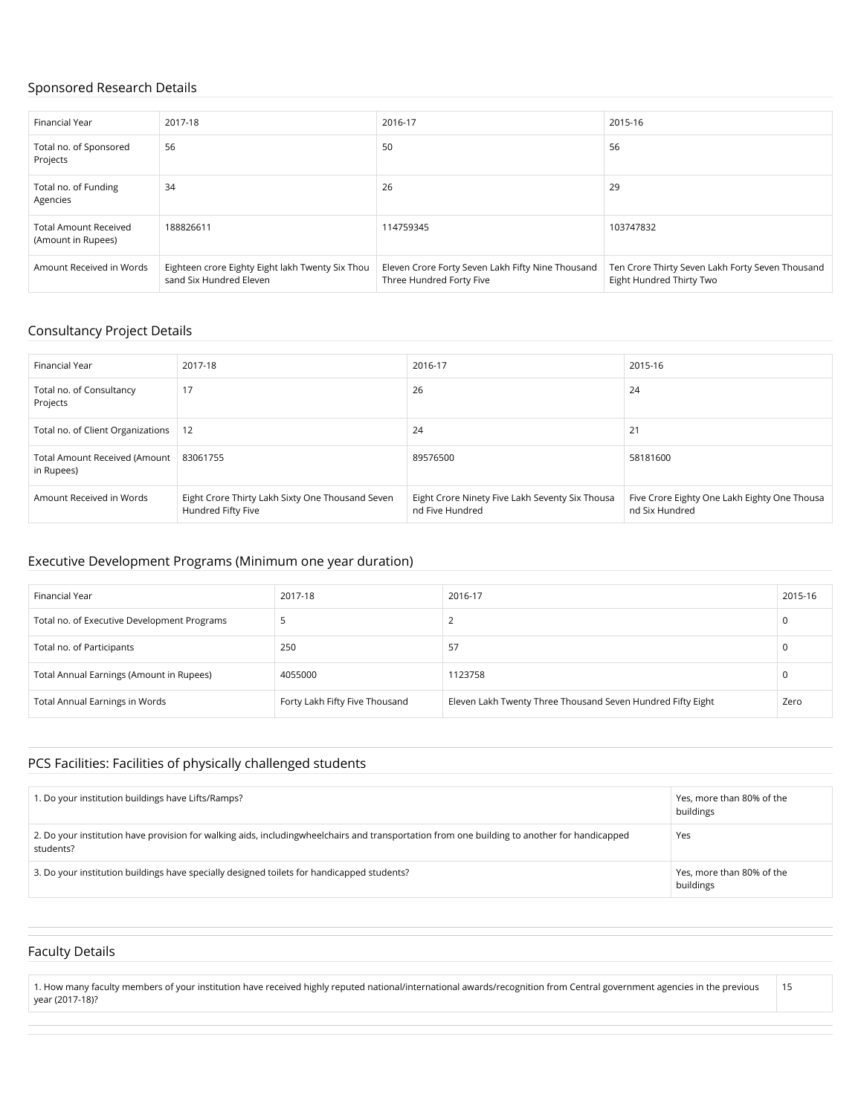#### Sponsored Research Details

| Financial Year                                     | 2017-18                                                                     | 2016-17                                                                       | 2015-16                                                                      |
|----------------------------------------------------|-----------------------------------------------------------------------------|-------------------------------------------------------------------------------|------------------------------------------------------------------------------|
| Total no. of Sponsored<br>Projects                 | 56                                                                          | 50                                                                            | 56                                                                           |
| Total no. of Funding<br>Agencies                   | 34                                                                          | 26                                                                            | 29                                                                           |
| <b>Total Amount Received</b><br>(Amount in Rupees) | 188826611                                                                   | 114759345                                                                     | 103747832                                                                    |
| Amount Received in Words                           | Eighteen crore Eighty Eight lakh Twenty Six Thou<br>sand Six Hundred Eleven | Eleven Crore Forty Seven Lakh Fifty Nine Thousand<br>Three Hundred Forty Five | Ten Crore Thirty Seven Lakh Forty Seven Thousand<br>Eight Hundred Thirty Two |

#### Consultancy Project Details

| Financial Year                              | 2017-18                                                                | 2016-17                                                            | 2015-16                                                        |
|---------------------------------------------|------------------------------------------------------------------------|--------------------------------------------------------------------|----------------------------------------------------------------|
| Total no. of Consultancy<br>Projects        | 17                                                                     | 26                                                                 | 24                                                             |
| Total no. of Client Organizations           | 12                                                                     | 24                                                                 | 21                                                             |
| Total Amount Received (Amount<br>in Rupees) | 83061755                                                               | 89576500                                                           | 58181600                                                       |
| Amount Received in Words                    | Eight Crore Thirty Lakh Sixty One Thousand Seven<br>Hundred Fifty Five | Eight Crore Ninety Five Lakh Seventy Six Thousa<br>nd Five Hundred | Five Crore Eighty One Lakh Eighty One Thousa<br>nd Six Hundred |

#### Executive Development Programs (Minimum one year duration)

| Financial Year                              | 2017-18                        | 2016-17                                                     | 2015-16 |
|---------------------------------------------|--------------------------------|-------------------------------------------------------------|---------|
| Total no. of Executive Development Programs |                                |                                                             |         |
| Total no. of Participants                   | 250                            | 57                                                          |         |
| Total Annual Earnings (Amount in Rupees)    | 4055000                        | 1123758                                                     |         |
| <b>Total Annual Earnings in Words</b>       | Forty Lakh Fifty Five Thousand | Eleven Lakh Twenty Three Thousand Seven Hundred Fifty Eight | Zero    |

### PCS Facilities: Facilities of physically challenged students

| 1. Do your institution buildings have Lifts/Ramps?                                                                                                          | Yes, more than 80% of the<br>buildings |
|-------------------------------------------------------------------------------------------------------------------------------------------------------------|----------------------------------------|
| 2. Do your institution have provision for walking aids, including wheel chairs and transportation from one building to another for handicapped<br>students? | Yes                                    |
| 3. Do your institution buildings have specially designed toilets for handicapped students?                                                                  | Yes, more than 80% of the<br>buildings |

#### Faculty Details

1. How many faculty members of your institution have received highly reputed national/international awards/recognition from Central government agencies in the previous year (2017-18)? 15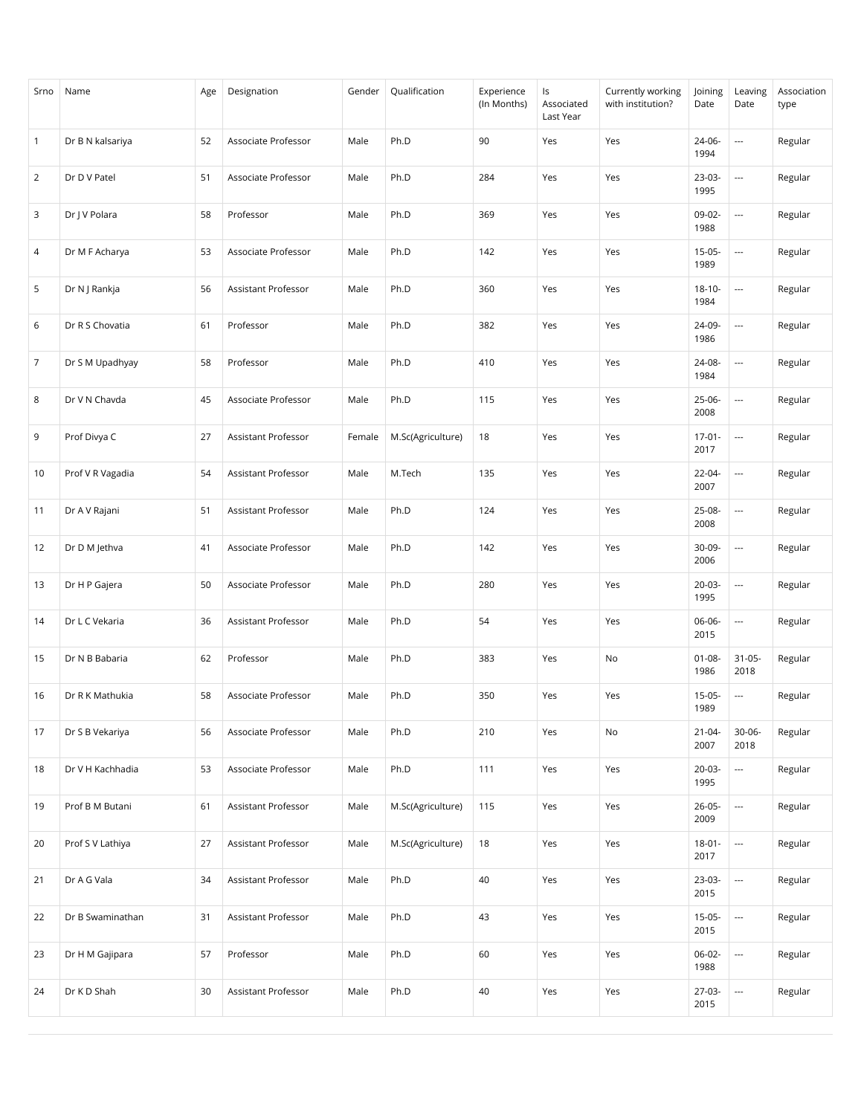| Srno           | Name             | Age | Designation         | Gender | Qualification     | Experience<br>(In Months) | Is<br>Associated<br>Last Year | Currently working<br>with institution? | Joining<br>Date     | Leaving<br>Date          | Association<br>type |
|----------------|------------------|-----|---------------------|--------|-------------------|---------------------------|-------------------------------|----------------------------------------|---------------------|--------------------------|---------------------|
| $\mathbf{1}$   | Dr B N kalsariya | 52  | Associate Professor | Male   | Ph.D              | 90                        | Yes                           | Yes                                    | 24-06-<br>1994      | $\hspace{0.05cm} \ldots$ | Regular             |
| $\overline{2}$ | Dr D V Patel     | 51  | Associate Professor | Male   | Ph.D              | 284                       | Yes                           | Yes                                    | 23-03-<br>1995      | $\overline{\phantom{a}}$ | Regular             |
| 3              | Dr J V Polara    | 58  | Professor           | Male   | Ph.D              | 369                       | Yes                           | Yes                                    | 09-02-<br>1988      | $\overline{\phantom{a}}$ | Regular             |
| 4              | Dr M F Acharya   | 53  | Associate Professor | Male   | Ph.D              | 142                       | Yes                           | Yes                                    | $15-05-$<br>1989    | $\overline{\phantom{a}}$ | Regular             |
| 5              | Dr N J Rankja    | 56  | Assistant Professor | Male   | Ph.D              | 360                       | Yes                           | Yes                                    | $18 - 10 -$<br>1984 | $\overline{\phantom{a}}$ | Regular             |
| 6              | Dr R S Chovatia  | 61  | Professor           | Male   | Ph.D              | 382                       | Yes                           | Yes                                    | 24-09-<br>1986      | $\overline{\phantom{a}}$ | Regular             |
| $\overline{7}$ | Dr S M Upadhyay  | 58  | Professor           | Male   | Ph.D              | 410                       | Yes                           | Yes                                    | 24-08-<br>1984      | $\overline{\phantom{a}}$ | Regular             |
| 8              | Dr V N Chavda    | 45  | Associate Professor | Male   | Ph.D              | 115                       | Yes                           | Yes                                    | $25-06-$<br>2008    | $\overline{\phantom{a}}$ | Regular             |
| 9              | Prof Divya C     | 27  | Assistant Professor | Female | M.Sc(Agriculture) | 18                        | Yes                           | Yes                                    | $17-01-$<br>2017    | $\hspace{0.05cm} \ldots$ | Regular             |
| 10             | Prof V R Vagadia | 54  | Assistant Professor | Male   | M.Tech            | 135                       | Yes                           | Yes                                    | $22 - 04 -$<br>2007 | $\overline{\phantom{a}}$ | Regular             |
| 11             | Dr A V Rajani    | 51  | Assistant Professor | Male   | Ph.D              | 124                       | Yes                           | Yes                                    | 25-08-<br>2008      | $\hspace{0.05cm} \ldots$ | Regular             |
| 12             | Dr D M Jethva    | 41  | Associate Professor | Male   | Ph.D              | 142                       | Yes                           | Yes                                    | $30-09-$<br>2006    | $\overline{\phantom{a}}$ | Regular             |
| 13             | Dr H P Gajera    | 50  | Associate Professor | Male   | Ph.D              | 280                       | Yes                           | Yes                                    | $20-03-$<br>1995    | ---                      | Regular             |
| 14             | Dr L C Vekaria   | 36  | Assistant Professor | Male   | Ph.D              | 54                        | Yes                           | Yes                                    | 06-06-<br>2015      | $\hspace{0.05cm} \ldots$ | Regular             |
| 15             | Dr N B Babaria   | 62  | Professor           | Male   | Ph.D              | 383                       | Yes                           | No                                     | $01 - 08 -$<br>1986 | $31 - 05 -$<br>2018      | Regular             |
| 16             | Dr R K Mathukia  | 58  | Associate Professor | Male   | Ph.D              | 350                       | Yes                           | Yes                                    | $15-05-$<br>1989    | ---                      | Regular             |
| 17             | Dr S B Vekariya  | 56  | Associate Professor | Male   | Ph.D              | 210                       | Yes                           | No                                     | $21 - 04 -$<br>2007 | $30 - 06 -$<br>2018      | Regular             |
| 18             | Dr V H Kachhadia | 53  | Associate Professor | Male   | Ph.D              | 111                       | Yes                           | Yes                                    | $20-03-$<br>1995    | $\overline{\phantom{a}}$ | Regular             |
| 19             | Prof B M Butani  | 61  | Assistant Professor | Male   | M.Sc(Agriculture) | 115                       | Yes                           | Yes                                    | $26 - 05 -$<br>2009 |                          | Regular             |
| 20             | Prof S V Lathiya | 27  | Assistant Professor | Male   | M.Sc(Agriculture) | 18                        | Yes                           | Yes                                    | $18 - 01 -$<br>2017 |                          | Regular             |
| 21             | Dr A G Vala      | 34  | Assistant Professor | Male   | Ph.D              | 40                        | Yes                           | Yes                                    | 23-03-<br>2015      |                          | Regular             |
| 22             | Dr B Swaminathan | 31  | Assistant Professor | Male   | Ph.D              | 43                        | Yes                           | Yes                                    | $15-05-$<br>2015    | ---                      | Regular             |
| 23             | Dr H M Gajipara  | 57  | Professor           | Male   | Ph.D              | 60                        | Yes                           | Yes                                    | 06-02-<br>1988      |                          | Regular             |
| 24             | Dr K D Shah      | 30  | Assistant Professor | Male   | Ph.D              | $40\,$                    | Yes                           | Yes                                    | 27-03-<br>2015      | $\overline{\phantom{a}}$ | Regular             |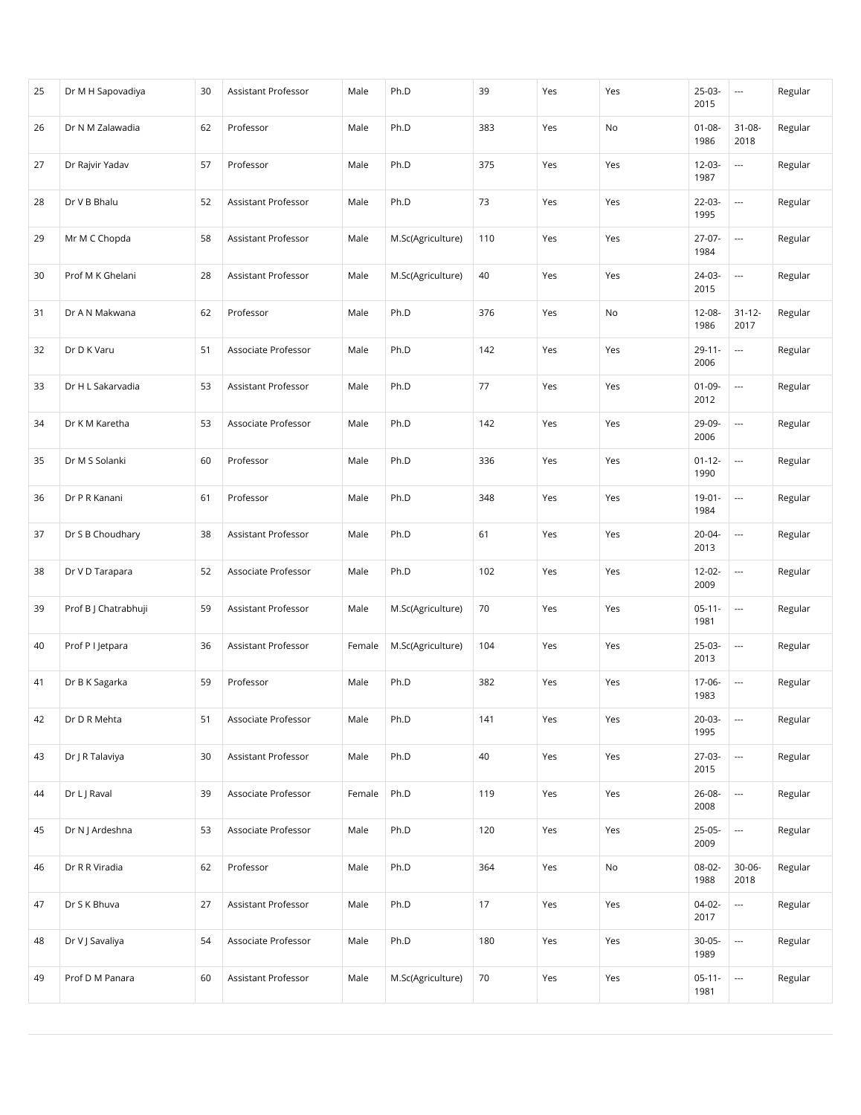| 25 | Dr M H Sapovadiya    | 30 | Assistant Professor | Male   | Ph.D              | 39  | Yes | Yes | $25-03-$<br>2015    | ---                      | Regular |
|----|----------------------|----|---------------------|--------|-------------------|-----|-----|-----|---------------------|--------------------------|---------|
| 26 | Dr N M Zalawadia     | 62 | Professor           | Male   | Ph.D              | 383 | Yes | No  | $01 - 08 -$<br>1986 | $31 - 08 -$<br>2018      | Regular |
| 27 | Dr Rajvir Yadav      | 57 | Professor           | Male   | Ph.D              | 375 | Yes | Yes | 12-03-<br>1987      | $\hspace{0.05cm} \ldots$ | Regular |
| 28 | Dr V B Bhalu         | 52 | Assistant Professor | Male   | Ph.D              | 73  | Yes | Yes | $22 - 03 -$<br>1995 | $\overline{\phantom{a}}$ | Regular |
| 29 | Mr M C Chopda        | 58 | Assistant Professor | Male   | M.Sc(Agriculture) | 110 | Yes | Yes | 27-07-<br>1984      | $\overline{\phantom{a}}$ | Regular |
| 30 | Prof M K Ghelani     | 28 | Assistant Professor | Male   | M.Sc(Agriculture) | 40  | Yes | Yes | 24-03-<br>2015      | $\hspace{0.05cm} \ldots$ | Regular |
| 31 | Dr A N Makwana       | 62 | Professor           | Male   | Ph.D              | 376 | Yes | No  | 12-08-<br>1986      | $31 - 12 -$<br>2017      | Regular |
| 32 | Dr D K Varu          | 51 | Associate Professor | Male   | Ph.D              | 142 | Yes | Yes | $29 - 11 -$<br>2006 | $\hspace{0.05cm} \ldots$ | Regular |
| 33 | Dr H L Sakarvadia    | 53 | Assistant Professor | Male   | Ph.D              | 77  | Yes | Yes | $01-09-$<br>2012    | $\hspace{0.05cm} \ldots$ | Regular |
| 34 | Dr K M Karetha       | 53 | Associate Professor | Male   | Ph.D              | 142 | Yes | Yes | 29-09-<br>2006      | $\overline{\phantom{a}}$ | Regular |
| 35 | Dr M S Solanki       | 60 | Professor           | Male   | Ph.D              | 336 | Yes | Yes | $01 - 12 -$<br>1990 | $\overline{\phantom{a}}$ | Regular |
| 36 | Dr P R Kanani        | 61 | Professor           | Male   | Ph.D              | 348 | Yes | Yes | $19-01 -$<br>1984   | $\overline{\phantom{a}}$ | Regular |
| 37 | Dr S B Choudhary     | 38 | Assistant Professor | Male   | Ph.D              | 61  | Yes | Yes | 20-04-<br>2013      | ---                      | Regular |
| 38 | Dr V D Tarapara      | 52 | Associate Professor | Male   | Ph.D              | 102 | Yes | Yes | 12-02-<br>2009      | $\hspace{0.05cm} \ldots$ | Regular |
| 39 | Prof B J Chatrabhuji | 59 | Assistant Professor | Male   | M.Sc(Agriculture) | 70  | Yes | Yes | $05 - 11 -$<br>1981 | $\overline{\phantom{a}}$ | Regular |
| 40 | Prof P I Jetpara     | 36 | Assistant Professor | Female | M.Sc(Agriculture) | 104 | Yes | Yes | 25-03-<br>2013      | $\overline{\phantom{a}}$ | Regular |
| 41 | Dr B K Sagarka       | 59 | Professor           | Male   | Ph.D              | 382 | Yes | Yes | 17-06-<br>1983      | $\overline{\phantom{a}}$ | Regular |
| 42 | Dr D R Mehta         | 51 | Associate Professor | Male   | Ph.D              | 141 | Yes | Yes | $20-03-$<br>1995    | $\overline{\phantom{a}}$ | Regular |
| 43 | Dr J R Talaviya      | 30 | Assistant Professor | Male   | Ph.D              | 40  | Yes | Yes | 27-03-<br>2015      |                          | Regular |
| 44 | Dr L J Raval         | 39 | Associate Professor | Female | Ph.D              | 119 | Yes | Yes | 26-08-<br>2008      |                          | Regular |
| 45 | Dr N J Ardeshna      | 53 | Associate Professor | Male   | Ph.D              | 120 | Yes | Yes | $25-05-$<br>2009    |                          | Regular |
| 46 | Dr R R Viradia       | 62 | Professor           | Male   | Ph.D              | 364 | Yes | No  | 08-02-<br>1988      | $30 - 06 -$<br>2018      | Regular |
| 47 | Dr S K Bhuva         | 27 | Assistant Professor | Male   | Ph.D              | 17  | Yes | Yes | 04-02-<br>2017      |                          | Regular |
| 48 | Dr V J Savaliya      | 54 | Associate Professor | Male   | Ph.D              | 180 | Yes | Yes | $30-05-$<br>1989    |                          | Regular |
| 49 | Prof D M Panara      | 60 | Assistant Professor | Male   | M.Sc(Agriculture) | 70  | Yes | Yes | $05-11-$<br>1981    |                          | Regular |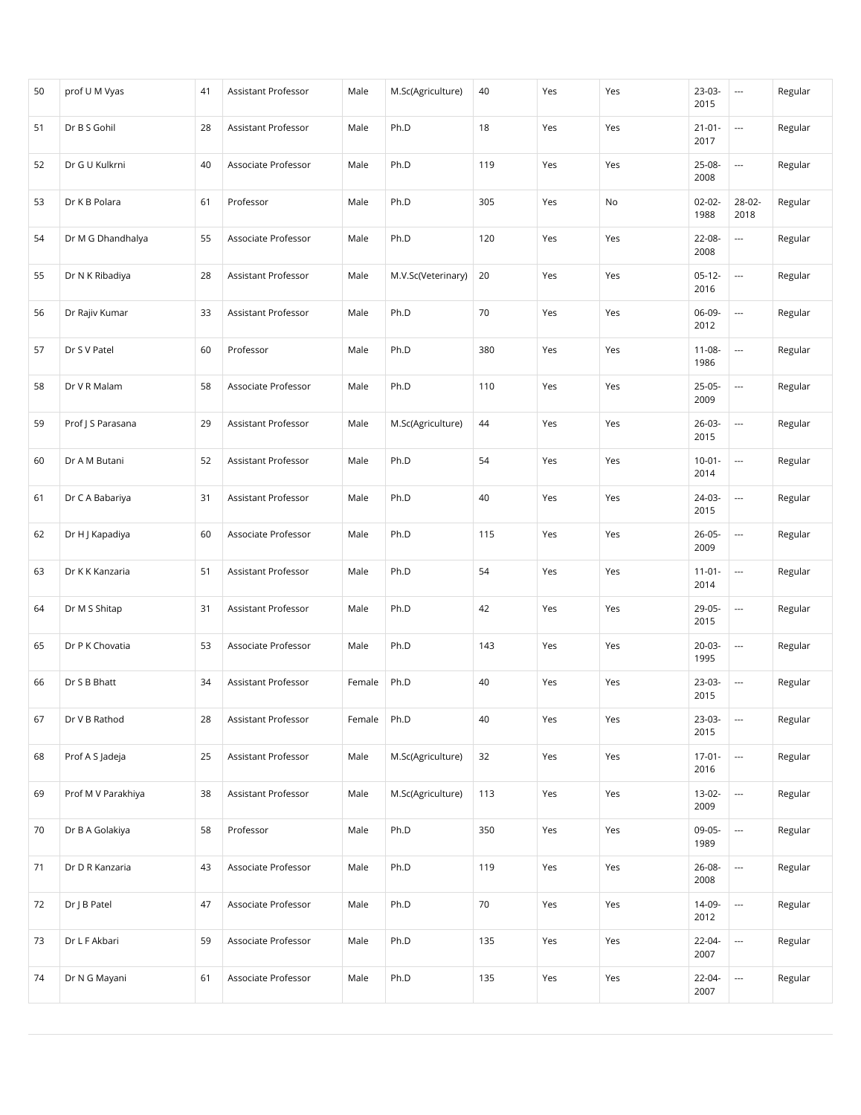| 50 | prof U M Vyas      | 41 | Assistant Professor | Male   | M.Sc(Agriculture)  | 40  | Yes | Yes | 23-03-<br>2015      | $\sim$                   | Regular |
|----|--------------------|----|---------------------|--------|--------------------|-----|-----|-----|---------------------|--------------------------|---------|
| 51 | Dr B S Gohil       | 28 | Assistant Professor | Male   | Ph.D               | 18  | Yes | Yes | $21 - 01 -$<br>2017 | $\overline{a}$           | Regular |
| 52 | Dr G U Kulkrni     | 40 | Associate Professor | Male   | Ph.D               | 119 | Yes | Yes | 25-08-<br>2008      | ---                      | Regular |
| 53 | Dr K B Polara      | 61 | Professor           | Male   | Ph.D               | 305 | Yes | No  | $02 - 02 -$<br>1988 | 28-02-<br>2018           | Regular |
| 54 | Dr M G Dhandhalya  | 55 | Associate Professor | Male   | Ph.D               | 120 | Yes | Yes | 22-08-<br>2008      | $\overline{a}$           | Regular |
| 55 | Dr N K Ribadiya    | 28 | Assistant Professor | Male   | M.V.Sc(Veterinary) | 20  | Yes | Yes | $05-12-$<br>2016    | $\overline{\phantom{a}}$ | Regular |
| 56 | Dr Rajiv Kumar     | 33 | Assistant Professor | Male   | Ph.D               | 70  | Yes | Yes | 06-09-<br>2012      | $\overline{\phantom{a}}$ | Regular |
| 57 | Dr S V Patel       | 60 | Professor           | Male   | Ph.D               | 380 | Yes | Yes | $11 - 08 -$<br>1986 | ---                      | Regular |
| 58 | Dr V R Malam       | 58 | Associate Professor | Male   | Ph.D               | 110 | Yes | Yes | $25-05-$<br>2009    | $\overline{\phantom{a}}$ | Regular |
| 59 | Prof J S Parasana  | 29 | Assistant Professor | Male   | M.Sc(Agriculture)  | 44  | Yes | Yes | $26-03-$<br>2015    | $\overline{a}$           | Regular |
| 60 | Dr A M Butani      | 52 | Assistant Professor | Male   | Ph.D               | 54  | Yes | Yes | $10-01 -$<br>2014   | $\overline{\phantom{a}}$ | Regular |
| 61 | Dr C A Babariya    | 31 | Assistant Professor | Male   | Ph.D               | 40  | Yes | Yes | 24-03-<br>2015      | $\overline{\phantom{a}}$ | Regular |
| 62 | Dr H J Kapadiya    | 60 | Associate Professor | Male   | Ph.D               | 115 | Yes | Yes | $26 - 05 -$<br>2009 | $\overline{a}$           | Regular |
| 63 | Dr K K Kanzaria    | 51 | Assistant Professor | Male   | Ph.D               | 54  | Yes | Yes | $11-01-$<br>2014    | $\overline{\phantom{a}}$ | Regular |
| 64 | Dr M S Shitap      | 31 | Assistant Professor | Male   | Ph.D               | 42  | Yes | Yes | 29-05-<br>2015      | $\overline{\phantom{a}}$ | Regular |
| 65 | Dr P K Chovatia    | 53 | Associate Professor | Male   | Ph.D               | 143 | Yes | Yes | $20-03-$<br>1995    | $\overline{\phantom{a}}$ | Regular |
| 66 | Dr S B Bhatt       | 34 | Assistant Professor | Female | Ph.D               | 40  | Yes | Yes | 23-03-<br>2015      | $\overline{\phantom{a}}$ | Regular |
| 67 | Dr V B Rathod      | 28 | Assistant Professor | Female | Ph.D               | 40  | Yes | Yes | 23-03-<br>2015      | $\overline{\phantom{a}}$ | Regular |
| 68 | Prof A S Jadeja    | 25 | Assistant Professor | Male   | M.Sc(Agriculture)  | 32  | Yes | Yes | $17-01 -$<br>2016   | $\overline{\phantom{a}}$ | Regular |
| 69 | Prof M V Parakhiya | 38 | Assistant Professor | Male   | M.Sc(Agriculture)  | 113 | Yes | Yes | $13-02-$<br>2009    |                          | Regular |
| 70 | Dr B A Golakiya    | 58 | Professor           | Male   | Ph.D               | 350 | Yes | Yes | 09-05-<br>1989      | $\overline{\phantom{a}}$ | Regular |
| 71 | Dr D R Kanzaria    | 43 | Associate Professor | Male   | Ph.D               | 119 | Yes | Yes | 26-08-<br>2008      | ---                      | Regular |
| 72 | Dr J B Patel       | 47 | Associate Professor | Male   | Ph.D               | 70  | Yes | Yes | 14-09-<br>2012      |                          | Regular |
| 73 | Dr L F Akbari      | 59 | Associate Professor | Male   | Ph.D               | 135 | Yes | Yes | 22-04-<br>2007      | $\overline{\phantom{a}}$ | Regular |
| 74 | Dr N G Mayani      | 61 | Associate Professor | Male   | Ph.D               | 135 | Yes | Yes | 22-04-<br>2007      | ---                      | Regular |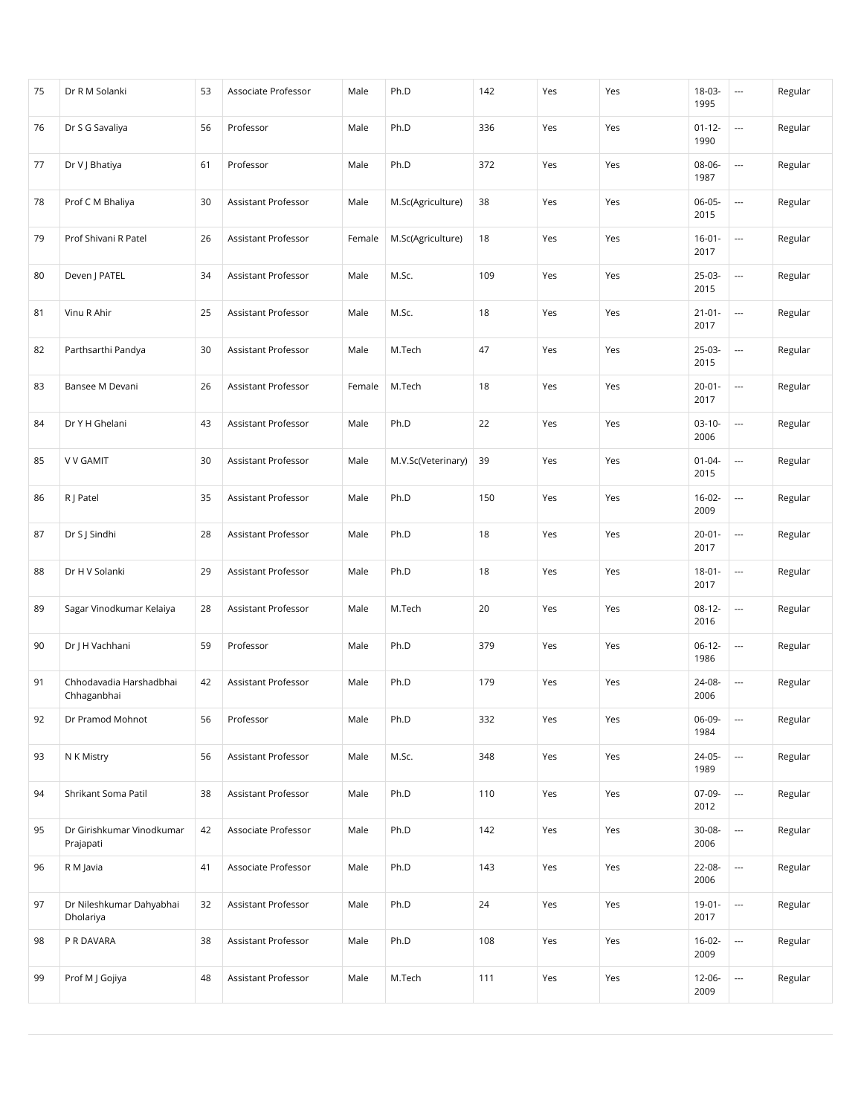| 75 | Dr R M Solanki                         | 53 | Associate Professor        | Male   | Ph.D               | 142 | Yes | Yes | 18-03-<br>1995      | $\hspace{0.05cm} \cdots$ | Regular |
|----|----------------------------------------|----|----------------------------|--------|--------------------|-----|-----|-----|---------------------|--------------------------|---------|
| 76 | Dr S G Savaliya                        | 56 | Professor                  | Male   | Ph.D               | 336 | Yes | Yes | $01 - 12 -$<br>1990 | $\overline{\phantom{a}}$ | Regular |
| 77 | Dr V J Bhatiya                         | 61 | Professor                  | Male   | Ph.D               | 372 | Yes | Yes | 08-06-<br>1987      | $\overline{\phantom{a}}$ | Regular |
| 78 | Prof C M Bhaliya                       | 30 | Assistant Professor        | Male   | M.Sc(Agriculture)  | 38  | Yes | Yes | $06-05-$<br>2015    | $\overline{\phantom{a}}$ | Regular |
| 79 | Prof Shivani R Patel                   | 26 | Assistant Professor        | Female | M.Sc(Agriculture)  | 18  | Yes | Yes | $16 - 01 -$<br>2017 | $\overline{\phantom{a}}$ | Regular |
| 80 | Deven   PATEL                          | 34 | Assistant Professor        | Male   | M.Sc.              | 109 | Yes | Yes | 25-03-<br>2015      | $\hspace{0.05cm} \ldots$ | Regular |
| 81 | Vinu R Ahir                            | 25 | Assistant Professor        | Male   | M.Sc.              | 18  | Yes | Yes | $21 - 01 -$<br>2017 | $\overline{\phantom{a}}$ | Regular |
| 82 | Parthsarthi Pandya                     | 30 | Assistant Professor        | Male   | M.Tech             | 47  | Yes | Yes | 25-03-<br>2015      | $\overline{\phantom{a}}$ | Regular |
| 83 | Bansee M Devani                        | 26 | Assistant Professor        | Female | M.Tech             | 18  | Yes | Yes | $20 - 01 -$<br>2017 | $\hspace{0.05cm} \ldots$ | Regular |
| 84 | Dr Y H Ghelani                         | 43 | Assistant Professor        | Male   | Ph.D               | 22  | Yes | Yes | $03-10-$<br>2006    | $\overline{\phantom{a}}$ | Regular |
| 85 | <b>V V GAMIT</b>                       | 30 | Assistant Professor        | Male   | M.V.Sc(Veterinary) | 39  | Yes | Yes | $01 - 04 -$<br>2015 | $\overline{\phantom{a}}$ | Regular |
| 86 | R J Patel                              | 35 | Assistant Professor        | Male   | Ph.D               | 150 | Yes | Yes | $16-02-$<br>2009    | $\overline{\phantom{a}}$ | Regular |
| 87 | Dr S J Sindhi                          | 28 | Assistant Professor        | Male   | Ph.D               | 18  | Yes | Yes | $20 - 01 -$<br>2017 | $\overline{\phantom{a}}$ | Regular |
| 88 | Dr H V Solanki                         | 29 | Assistant Professor        | Male   | Ph.D               | 18  | Yes | Yes | $18 - 01 -$<br>2017 | $\hspace{0.05cm} \ldots$ | Regular |
| 89 | Sagar Vinodkumar Kelaiya               | 28 | Assistant Professor        | Male   | M.Tech             | 20  | Yes | Yes | $08-12-$<br>2016    | $\overline{\phantom{a}}$ | Regular |
| 90 | Dr J H Vachhani                        | 59 | Professor                  | Male   | Ph.D               | 379 | Yes | Yes | $06-12-$<br>1986    | $\overline{\phantom{a}}$ | Regular |
| 91 | Chhodavadia Harshadbhai<br>Chhaganbhai | 42 | <b>Assistant Professor</b> | Male   | Ph.D               | 179 | Yes | Yes | 24-08-<br>2006      | $\overline{\phantom{a}}$ | Regular |
| 92 | Dr Pramod Mohnot                       | 56 | Professor                  | Male   | Ph.D               | 332 | Yes | Yes | 06-09-<br>1984      | $\overline{\phantom{a}}$ | Regular |
| 93 | N K Mistry                             | 56 | Assistant Professor        | Male   | M.Sc.              | 348 | Yes | Yes | 24-05-<br>1989      |                          | Regular |
| 94 | Shrikant Soma Patil                    | 38 | Assistant Professor        | Male   | Ph.D               | 110 | Yes | Yes | 07-09-<br>2012      |                          | Regular |
| 95 | Dr Girishkumar Vinodkumar<br>Prajapati | 42 | Associate Professor        | Male   | Ph.D               | 142 | Yes | Yes | 30-08-<br>2006      |                          | Regular |
| 96 | R M Javia                              | 41 | Associate Professor        | Male   | Ph.D               | 143 | Yes | Yes | 22-08-<br>2006      |                          | Regular |
| 97 | Dr Nileshkumar Dahyabhai<br>Dholariya  | 32 | Assistant Professor        | Male   | Ph.D               | 24  | Yes | Yes | $19-01 -$<br>2017   |                          | Regular |
| 98 | P R DAVARA                             | 38 | Assistant Professor        | Male   | Ph.D               | 108 | Yes | Yes | $16 - 02 -$<br>2009 |                          | Regular |
| 99 | Prof M J Gojiya                        | 48 | Assistant Professor        | Male   | M.Tech             | 111 | Yes | Yes | 12-06-<br>2009      |                          | Regular |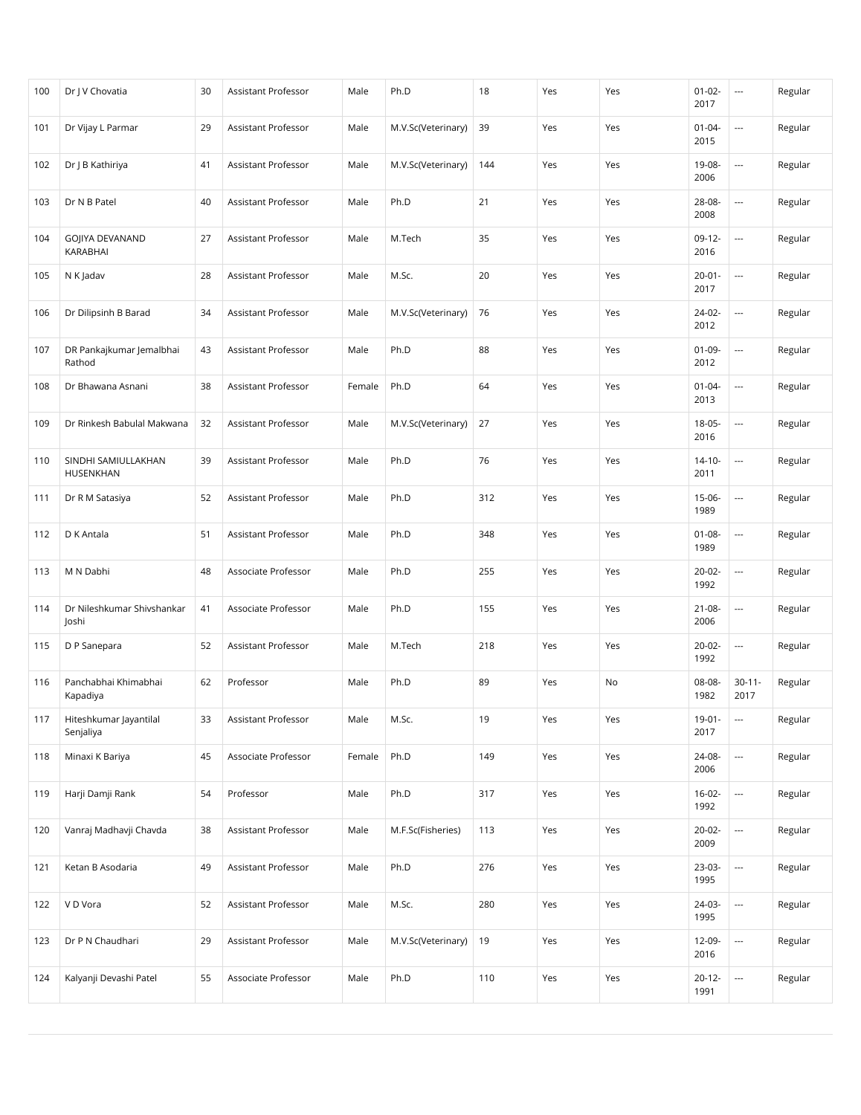| 100 | Dr   V Chovatia                     | 30 | Assistant Professor        | Male   | Ph.D               | 18  | Yes | Yes | $01-02-$<br>2017    | $\overline{\phantom{a}}$ | Regular |
|-----|-------------------------------------|----|----------------------------|--------|--------------------|-----|-----|-----|---------------------|--------------------------|---------|
| 101 | Dr Vijay L Parmar                   | 29 | Assistant Professor        | Male   | M.V.Sc(Veterinary) | 39  | Yes | Yes | $01 - 04 -$<br>2015 | $\overline{a}$           | Regular |
| 102 | Dr J B Kathiriya                    | 41 | Assistant Professor        | Male   | M.V.Sc(Veterinary) | 144 | Yes | Yes | 19-08-<br>2006      | $\overline{\phantom{a}}$ | Regular |
| 103 | Dr N B Patel                        | 40 | Assistant Professor        | Male   | Ph.D               | 21  | Yes | Yes | 28-08-<br>2008      | $\overline{\phantom{a}}$ | Regular |
| 104 | GOJIYA DEVANAND<br>KARABHAI         | 27 | Assistant Professor        | Male   | M.Tech             | 35  | Yes | Yes | $09-12-$<br>2016    | $\overline{\phantom{a}}$ | Regular |
| 105 | N K Jadav                           | 28 | Assistant Professor        | Male   | M.Sc.              | 20  | Yes | Yes | $20 - 01 -$<br>2017 | $\overline{\phantom{a}}$ | Regular |
| 106 | Dr Dilipsinh B Barad                | 34 | Assistant Professor        | Male   | M.V.Sc(Veterinary) | 76  | Yes | Yes | 24-02-<br>2012      |                          | Regular |
| 107 | DR Pankajkumar Jemalbhai<br>Rathod  | 43 | Assistant Professor        | Male   | Ph.D               | 88  | Yes | Yes | $01-09-$<br>2012    | $\overline{\phantom{a}}$ | Regular |
| 108 | Dr Bhawana Asnani                   | 38 | Assistant Professor        | Female | Ph.D               | 64  | Yes | Yes | $01 - 04 -$<br>2013 | $\overline{\phantom{a}}$ | Regular |
| 109 | Dr Rinkesh Babulal Makwana          | 32 | Assistant Professor        | Male   | M.V.Sc(Veterinary) | 27  | Yes | Yes | $18-05-$<br>2016    | $\overline{\phantom{a}}$ | Regular |
| 110 | SINDHI SAMIULLAKHAN<br>HUSENKHAN    | 39 | Assistant Professor        | Male   | Ph.D               | 76  | Yes | Yes | $14 - 10 -$<br>2011 | $\overline{\phantom{a}}$ | Regular |
| 111 | Dr R M Satasiya                     | 52 | Assistant Professor        | Male   | Ph.D               | 312 | Yes | Yes | $15-06-$<br>1989    | $\overline{\phantom{a}}$ | Regular |
| 112 | D K Antala                          | 51 | Assistant Professor        | Male   | Ph.D               | 348 | Yes | Yes | $01 - 08 -$<br>1989 | $\overline{\phantom{a}}$ | Regular |
| 113 | M N Dabhi                           | 48 | Associate Professor        | Male   | Ph.D               | 255 | Yes | Yes | $20-02-$<br>1992    | $\overline{\phantom{a}}$ | Regular |
| 114 | Dr Nileshkumar Shivshankar<br>Joshi | 41 | Associate Professor        | Male   | Ph.D               | 155 | Yes | Yes | $21 - 08 -$<br>2006 | $\overline{\phantom{a}}$ | Regular |
| 115 | D P Sanepara                        | 52 | <b>Assistant Professor</b> | Male   | M.Tech             | 218 | Yes | Yes | $20-02-$<br>1992    | $\overline{\phantom{a}}$ | Regular |
| 116 | Panchabhai Khimabhai<br>Kapadiya    | 62 | Professor                  | Male   | Ph.D               | 89  | Yes | No  | 08-08-<br>1982      | $30 - 11 -$<br>2017      | Regular |
| 117 | Hiteshkumar Jayantilal<br>Senjaliya | 33 | Assistant Professor        | Male   | M.Sc.              | 19  | Yes | Yes | $19-01 -$<br>2017   | $\overline{\phantom{a}}$ | Regular |
| 118 | Minaxi K Bariya                     | 45 | Associate Professor        | Female | Ph.D               | 149 | Yes | Yes | 24-08-<br>2006      | $\overline{\phantom{a}}$ | Regular |
| 119 | Harji Damji Rank                    | 54 | Professor                  | Male   | Ph.D               | 317 | Yes | Yes | $16-02-$<br>1992    | $\overline{\phantom{a}}$ | Regular |
| 120 | Vanraj Madhavji Chavda              | 38 | Assistant Professor        | Male   | M.F.Sc(Fisheries)  | 113 | Yes | Yes | $20-02-$<br>2009    |                          | Regular |
| 121 | Ketan B Asodaria                    | 49 | Assistant Professor        | Male   | Ph.D               | 276 | Yes | Yes | 23-03-<br>1995      |                          | Regular |
| 122 | V D Vora                            | 52 | Assistant Professor        | Male   | M.Sc.              | 280 | Yes | Yes | 24-03-<br>1995      |                          | Regular |
| 123 | Dr P N Chaudhari                    | 29 | Assistant Professor        | Male   | M.V.Sc(Veterinary) | 19  | Yes | Yes | 12-09-<br>2016      | $\overline{\phantom{a}}$ | Regular |
| 124 | Kalyanji Devashi Patel              | 55 | Associate Professor        | Male   | Ph.D               | 110 | Yes | Yes | $20 - 12 -$<br>1991 | ---                      | Regular |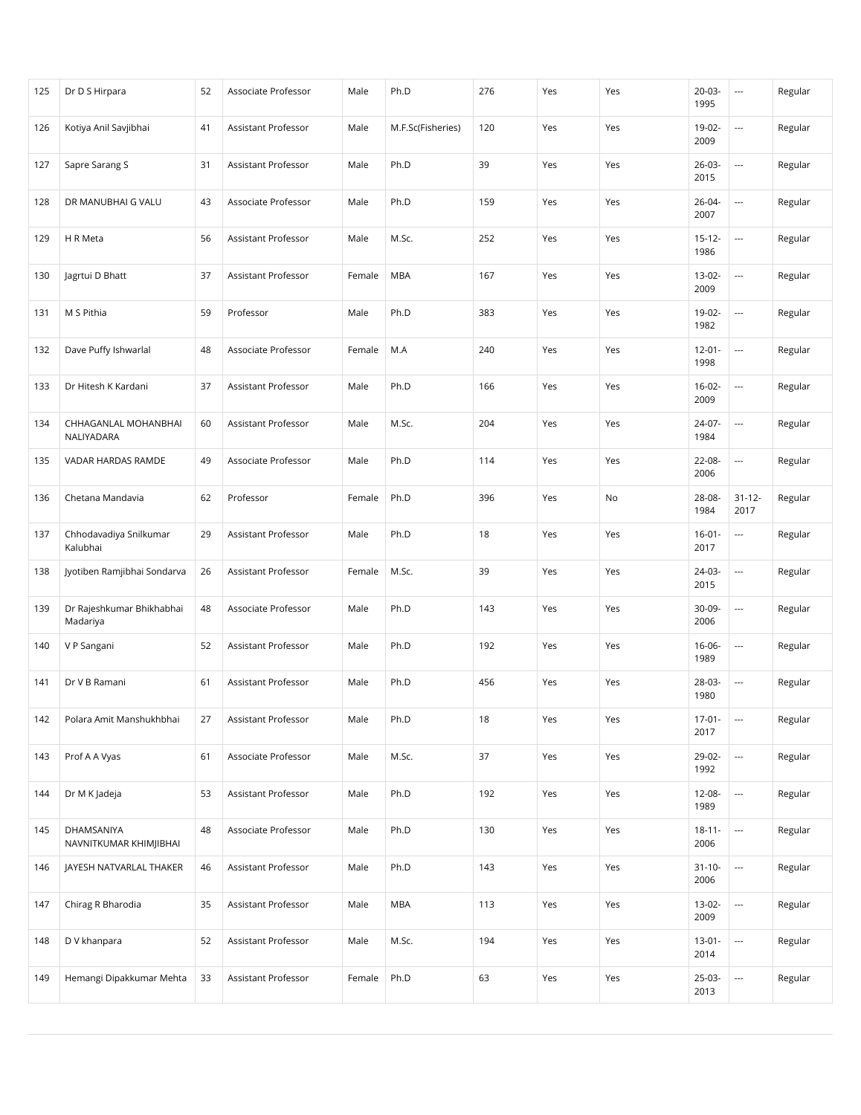| 125 | Dr D S Hirpara                        | 52 | Associate Professor        | Male   | Ph.D              | 276 | Yes | Yes | $20-03-$<br>1995    | $\hspace{0.05cm} \cdots$ | Regular |
|-----|---------------------------------------|----|----------------------------|--------|-------------------|-----|-----|-----|---------------------|--------------------------|---------|
| 126 | Kotiya Anil Savjibhai                 | 41 | Assistant Professor        | Male   | M.F.Sc(Fisheries) | 120 | Yes | Yes | 19-02-<br>2009      | $\overline{a}$           | Regular |
| 127 | Sapre Sarang S                        | 31 | <b>Assistant Professor</b> | Male   | Ph.D              | 39  | Yes | Yes | $26-03-$<br>2015    | $\overline{\phantom{a}}$ | Regular |
| 128 | DR MANUBHAI G VALU                    | 43 | Associate Professor        | Male   | Ph.D              | 159 | Yes | Yes | 26-04-<br>2007      | $\overline{\phantom{a}}$ | Regular |
| 129 | H R Meta                              | 56 | Assistant Professor        | Male   | M.Sc.             | 252 | Yes | Yes | $15 - 12 -$<br>1986 | $\overline{\phantom{a}}$ | Regular |
| 130 | Jagrtui D Bhatt                       | 37 | Assistant Professor        | Female | <b>MBA</b>        | 167 | Yes | Yes | 13-02-<br>2009      | $\overline{\phantom{a}}$ | Regular |
| 131 | M S Pithia                            | 59 | Professor                  | Male   | Ph.D              | 383 | Yes | Yes | 19-02-<br>1982      |                          | Regular |
| 132 | Dave Puffy Ishwarlal                  | 48 | Associate Professor        | Female | M.A               | 240 | Yes | Yes | $12 - 01 -$<br>1998 | ---                      | Regular |
| 133 | Dr Hitesh K Kardani                   | 37 | Assistant Professor        | Male   | Ph.D              | 166 | Yes | Yes | $16-02-$<br>2009    | $\hspace{0.05cm} \ldots$ | Regular |
| 134 | CHHAGANLAL MOHANBHAI<br>NALIYADARA    | 60 | Assistant Professor        | Male   | M.Sc.             | 204 | Yes | Yes | 24-07-<br>1984      | $\overline{\phantom{a}}$ | Regular |
| 135 | VADAR HARDAS RAMDE                    | 49 | Associate Professor        | Male   | Ph.D              | 114 | Yes | Yes | 22-08-<br>2006      | $\overline{\phantom{a}}$ | Regular |
| 136 | Chetana Mandavia                      | 62 | Professor                  | Female | Ph.D              | 396 | Yes | No  | 28-08-<br>1984      | $31 - 12 -$<br>2017      | Regular |
| 137 | Chhodavadiya Snilkumar<br>Kalubhai    | 29 | Assistant Professor        | Male   | Ph.D              | 18  | Yes | Yes | $16 - 01 -$<br>2017 | $\hspace{0.05cm} \ldots$ | Regular |
| 138 | Jyotiben Ramjibhai Sondarva           | 26 | Assistant Professor        | Female | M.Sc.             | 39  | Yes | Yes | 24-03-<br>2015      | $\hspace{0.05cm} \ldots$ | Regular |
| 139 | Dr Rajeshkumar Bhikhabhai<br>Madariya | 48 | Associate Professor        | Male   | Ph.D              | 143 | Yes | Yes | 30-09-<br>2006      | $\overline{\phantom{a}}$ | Regular |
| 140 | V P Sangani                           | 52 | Assistant Professor        | Male   | Ph.D              | 192 | Yes | Yes | 16-06-<br>1989      | $\overline{\phantom{a}}$ | Regular |
| 141 | Dr V B Ramani                         | 61 | Assistant Professor        | Male   | Ph.D              | 456 | Yes | Yes | 28-03-<br>1980      | $\overline{\phantom{a}}$ | Regular |
| 142 | Polara Amit Manshukhbhai              | 27 | Assistant Professor        | Male   | Ph.D              | 18  | Yes | Yes | $17-01-$<br>2017    | $\overline{\phantom{a}}$ | Regular |
| 143 | Prof A A Vyas                         | 61 | Associate Professor        | Male   | M.Sc.             | 37  | Yes | Yes | 29-02-<br>1992      |                          | Regular |
| 144 | Dr M K Jadeja                         | 53 | Assistant Professor        | Male   | Ph.D              | 192 | Yes | Yes | 12-08-<br>1989      |                          | Regular |
| 145 | DHAMSANIYA<br>NAVNITKUMAR KHIMJIBHAI  | 48 | Associate Professor        | Male   | Ph.D              | 130 | Yes | Yes | $18 - 11 -$<br>2006 |                          | Regular |
| 146 | JAYESH NATVARLAL THAKER               | 46 | Assistant Professor        | Male   | Ph.D              | 143 | Yes | Yes | $31 - 10 -$<br>2006 | $\overline{\phantom{a}}$ | Regular |
| 147 | Chirag R Bharodia                     | 35 | Assistant Professor        | Male   | MBA               | 113 | Yes | Yes | 13-02-<br>2009      |                          | Regular |
| 148 | D V khanpara                          | 52 | Assistant Professor        | Male   | M.Sc.             | 194 | Yes | Yes | $13 - 01 -$<br>2014 |                          | Regular |
| 149 | Hemangi Dipakkumar Mehta              | 33 | Assistant Professor        | Female | Ph.D              | 63  | Yes | Yes | 25-03-<br>2013      |                          | Regular |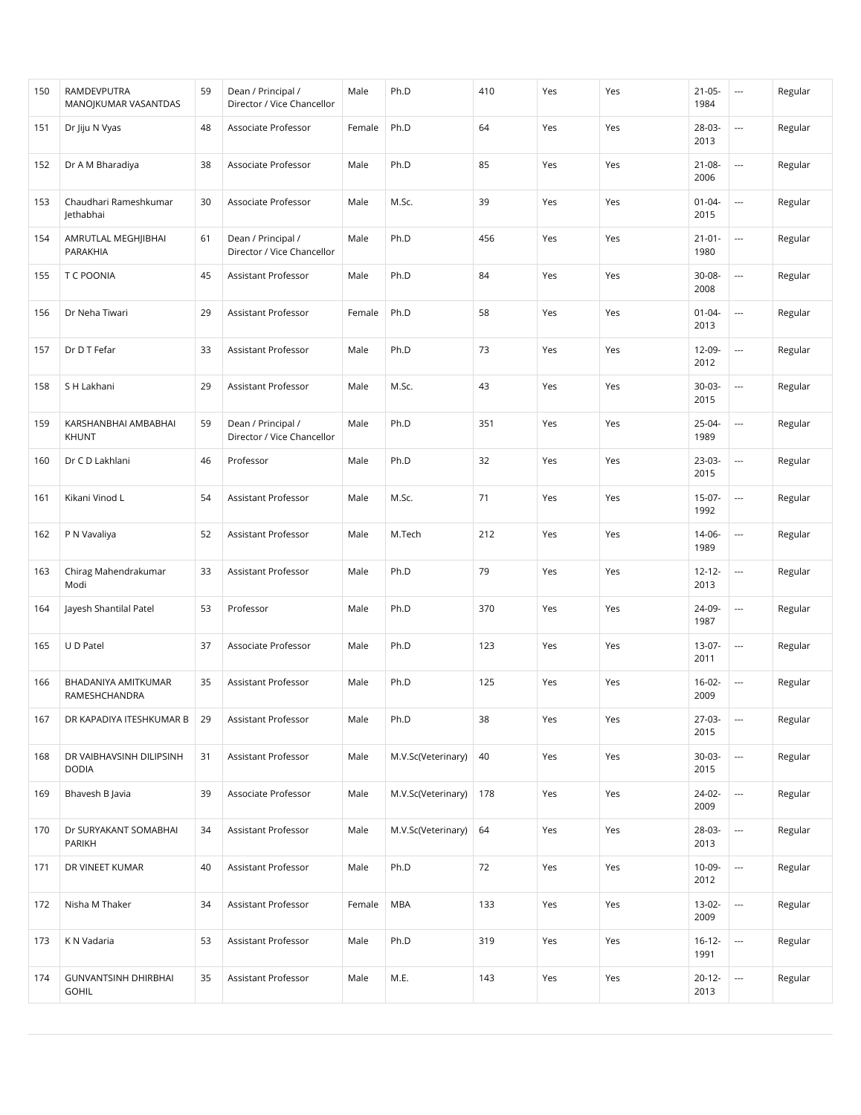| 150 | RAMDEVPUTRA<br>MANOJKUMAR VASANTDAS         | 59 | Dean / Principal /<br>Director / Vice Chancellor | Male   | Ph.D               | 410 | Yes | Yes | $21 - 05 -$<br>1984 | $\overline{\phantom{a}}$ | Regular |
|-----|---------------------------------------------|----|--------------------------------------------------|--------|--------------------|-----|-----|-----|---------------------|--------------------------|---------|
| 151 | Dr Jiju N Vyas                              | 48 | Associate Professor                              | Female | Ph.D               | 64  | Yes | Yes | 28-03-<br>2013      | $\overline{\phantom{a}}$ | Regular |
| 152 | Dr A M Bharadiya                            | 38 | Associate Professor                              | Male   | Ph.D               | 85  | Yes | Yes | $21 - 08 -$<br>2006 | $\overline{\phantom{a}}$ | Regular |
| 153 | Chaudhari Rameshkumar<br>Jethabhai          | 30 | Associate Professor                              | Male   | M.Sc.              | 39  | Yes | Yes | $01 - 04 -$<br>2015 | $\overline{\phantom{a}}$ | Regular |
| 154 | AMRUTLAL MEGHJIBHAI<br>PARAKHIA             | 61 | Dean / Principal /<br>Director / Vice Chancellor | Male   | Ph.D               | 456 | Yes | Yes | $21 - 01 -$<br>1980 | $\overline{\phantom{a}}$ | Regular |
| 155 | T C POONIA                                  | 45 | Assistant Professor                              | Male   | Ph.D               | 84  | Yes | Yes | 30-08-<br>2008      | $\hspace{0.05cm} \ldots$ | Regular |
| 156 | Dr Neha Tiwari                              | 29 | Assistant Professor                              | Female | Ph.D               | 58  | Yes | Yes | $01 - 04 -$<br>2013 | $\overline{\phantom{a}}$ | Regular |
| 157 | Dr D T Fefar                                | 33 | Assistant Professor                              | Male   | Ph.D               | 73  | Yes | Yes | 12-09-<br>2012      | $\overline{\phantom{a}}$ | Regular |
| 158 | S H Lakhani                                 | 29 | Assistant Professor                              | Male   | M.Sc.              | 43  | Yes | Yes | $30-03-$<br>2015    | $\overline{\phantom{a}}$ | Regular |
| 159 | KARSHANBHAI AMBABHAI<br>KHUNT               | 59 | Dean / Principal /<br>Director / Vice Chancellor | Male   | Ph.D               | 351 | Yes | Yes | 25-04-<br>1989      | $\hspace{0.05cm} \cdots$ | Regular |
| 160 | Dr C D Lakhlani                             | 46 | Professor                                        | Male   | Ph.D               | 32  | Yes | Yes | 23-03-<br>2015      | $\overline{\phantom{a}}$ | Regular |
| 161 | Kikani Vinod L                              | 54 | Assistant Professor                              | Male   | M.Sc.              | 71  | Yes | Yes | $15-07-$<br>1992    | $\overline{\phantom{a}}$ | Regular |
| 162 | P N Vavaliya                                | 52 | Assistant Professor                              | Male   | M.Tech             | 212 | Yes | Yes | 14-06-<br>1989      | $\overline{\phantom{a}}$ | Regular |
| 163 | Chirag Mahendrakumar<br>Modi                | 33 | Assistant Professor                              | Male   | Ph.D               | 79  | Yes | Yes | $12 - 12 -$<br>2013 | $\hspace{0.05cm} \ldots$ | Regular |
| 164 | Jayesh Shantilal Patel                      | 53 | Professor                                        | Male   | Ph.D               | 370 | Yes | Yes | 24-09-<br>1987      | $\overline{\phantom{a}}$ | Regular |
| 165 | U D Patel                                   | 37 | Associate Professor                              | Male   | Ph.D               | 123 | Yes | Yes | 13-07-<br>2011      | $\overline{\phantom{a}}$ | Regular |
| 166 | BHADANIYA AMITKUMAR<br>RAMESHCHANDRA        | 35 | Assistant Professor                              | Male   | Ph.D               | 125 | Yes | Yes | $16-02-$<br>2009    | $\overline{\phantom{a}}$ | Regular |
| 167 | DR KAPADIYA ITESHKUMAR B                    | 29 | Assistant Professor                              | Male   | Ph.D               | 38  | Yes | Yes | 27-03-<br>2015      | $\hspace{0.05cm} \cdots$ | Regular |
| 168 | DR VAIBHAVSINH DILIPSINH<br><b>DODIA</b>    | 31 | Assistant Professor                              | Male   | M.V.Sc(Veterinary) | 40  | Yes | Yes | 30-03-<br>2015      | ---                      | Regular |
| 169 | Bhavesh B Javia                             | 39 | Associate Professor                              | Male   | M.V.Sc(Veterinary) | 178 | Yes | Yes | 24-02-<br>2009      | ---                      | Regular |
| 170 | Dr SURYAKANT SOMABHAI<br>PARIKH             | 34 | Assistant Professor                              | Male   | M.V.Sc(Veterinary) | 64  | Yes | Yes | 28-03-<br>2013      |                          | Regular |
| 171 | DR VINEET KUMAR                             | 40 | Assistant Professor                              | Male   | Ph.D               | 72  | Yes | Yes | 10-09-<br>2012      |                          | Regular |
| 172 | Nisha M Thaker                              | 34 | Assistant Professor                              | Female | <b>MBA</b>         | 133 | Yes | Yes | 13-02-<br>2009      |                          | Regular |
| 173 | K N Vadaria                                 | 53 | Assistant Professor                              | Male   | Ph.D               | 319 | Yes | Yes | $16 - 12 -$<br>1991 | ---                      | Regular |
| 174 | <b>GUNVANTSINH DHIRBHAI</b><br><b>GOHIL</b> | 35 | Assistant Professor                              | Male   | M.E.               | 143 | Yes | Yes | $20 - 12 -$<br>2013 |                          | Regular |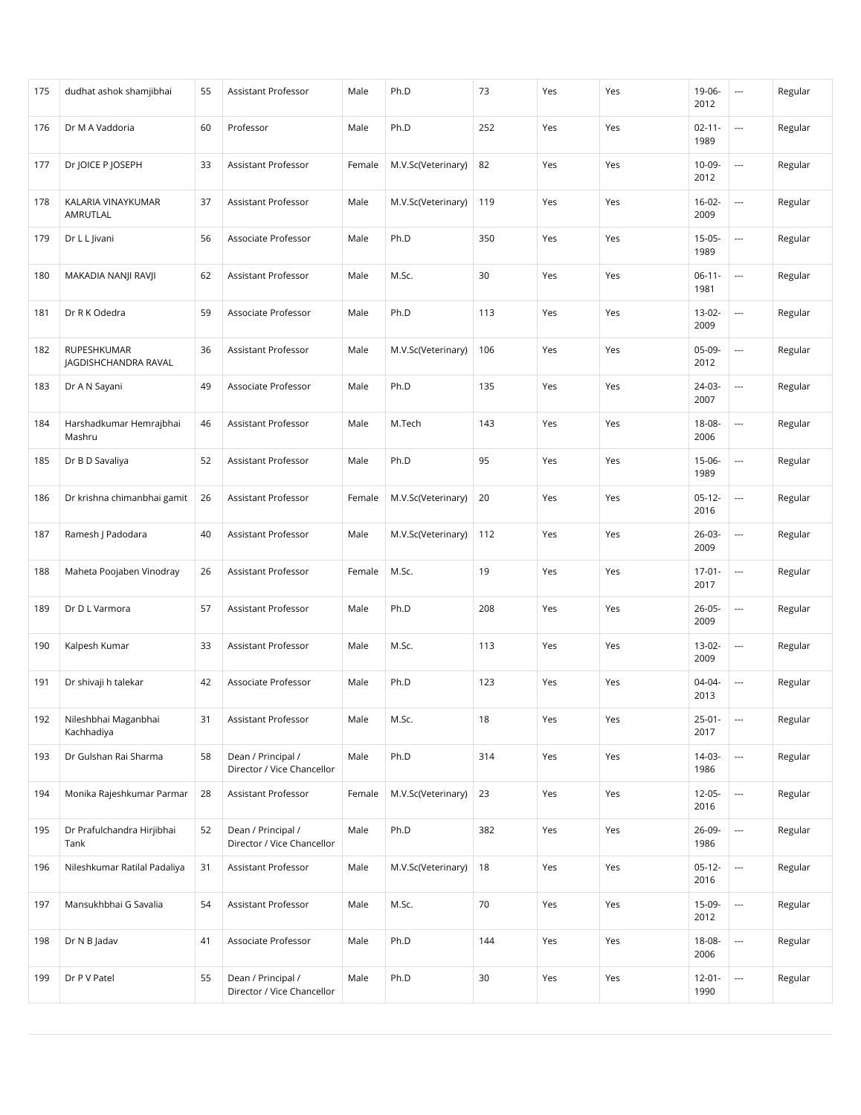| 175 | dudhat ashok shamjibhai             | 55 | Assistant Professor                              | Male   | Ph.D               | 73  | Yes | Yes | 19-06-<br>2012      | $\overline{\phantom{a}}$ | Regular |
|-----|-------------------------------------|----|--------------------------------------------------|--------|--------------------|-----|-----|-----|---------------------|--------------------------|---------|
| 176 | Dr M A Vaddoria                     | 60 | Professor                                        | Male   | Ph.D               | 252 | Yes | Yes | $02 - 11 -$<br>1989 | $\overline{a}$           | Regular |
| 177 | Dr JOICE P JOSEPH                   | 33 | Assistant Professor                              | Female | M.V.Sc(Veterinary) | 82  | Yes | Yes | 10-09-<br>2012      |                          | Regular |
| 178 | KALARIA VINAYKUMAR<br>AMRUTLAL      | 37 | Assistant Professor                              | Male   | M.V.Sc(Veterinary) | 119 | Yes | Yes | $16-02-$<br>2009    | $\overline{\phantom{a}}$ | Regular |
| 179 | Dr L L Jivani                       | 56 | Associate Professor                              | Male   | Ph.D               | 350 | Yes | Yes | $15-05-$<br>1989    | $\overline{a}$           | Regular |
| 180 | MAKADIA NANJI RAVJI                 | 62 | Assistant Professor                              | Male   | M.Sc.              | 30  | Yes | Yes | $06-11-$<br>1981    | $\overline{\phantom{a}}$ | Regular |
| 181 | Dr R K Odedra                       | 59 | Associate Professor                              | Male   | Ph.D               | 113 | Yes | Yes | 13-02-<br>2009      | $\overline{\phantom{a}}$ | Regular |
| 182 | RUPESHKUMAR<br>JAGDISHCHANDRA RAVAL | 36 | Assistant Professor                              | Male   | M.V.Sc(Veterinary) | 106 | Yes | Yes | 05-09-<br>2012      | $\overline{\phantom{a}}$ | Regular |
| 183 | Dr A N Sayani                       | 49 | Associate Professor                              | Male   | Ph.D               | 135 | Yes | Yes | 24-03-<br>2007      | $\hspace{0.05cm} \ldots$ | Regular |
| 184 | Harshadkumar Hemrajbhai<br>Mashru   | 46 | <b>Assistant Professor</b>                       | Male   | M.Tech             | 143 | Yes | Yes | 18-08-<br>2006      | $\overline{\phantom{a}}$ | Regular |
| 185 | Dr B D Savaliya                     | 52 | Assistant Professor                              | Male   | Ph.D               | 95  | Yes | Yes | 15-06-<br>1989      | $\overline{\phantom{a}}$ | Regular |
| 186 | Dr krishna chimanbhai gamit         | 26 | Assistant Professor                              | Female | M.V.Sc(Veterinary) | 20  | Yes | Yes | $05-12-$<br>2016    | $\overline{\phantom{a}}$ | Regular |
| 187 | Ramesh J Padodara                   | 40 | Assistant Professor                              | Male   | M.V.Sc(Veterinary) | 112 | Yes | Yes | 26-03-<br>2009      |                          | Regular |
| 188 | Maheta Poojaben Vinodray            | 26 | Assistant Professor                              | Female | M.Sc.              | 19  | Yes | Yes | $17-01 -$<br>2017   | $\overline{\phantom{a}}$ | Regular |
| 189 | Dr D L Varmora                      | 57 | Assistant Professor                              | Male   | Ph.D               | 208 | Yes | Yes | $26 - 05 -$<br>2009 | $\overline{\phantom{a}}$ | Regular |
| 190 | Kalpesh Kumar                       | 33 | Assistant Professor                              | Male   | M.Sc.              | 113 | Yes | Yes | 13-02-<br>2009      | $\overline{\phantom{a}}$ | Regular |
| 191 | Dr shivaji h talekar                | 42 | Associate Professor                              | Male   | Ph.D               | 123 | Yes | Yes | 04-04-<br>2013      | $\overline{\phantom{a}}$ | Regular |
| 192 | Nileshbhai Maganbhai<br>Kachhadiya  | 31 | Assistant Professor                              | Male   | M.Sc.              | 18  | Yes | Yes | $25 - 01 -$<br>2017 | $\overline{\phantom{a}}$ | Regular |
| 193 | Dr Gulshan Rai Sharma               | 58 | Dean / Principal /<br>Director / Vice Chancellor | Male   | Ph.D               | 314 | Yes | Yes | 14-03-<br>1986      |                          | Regular |
| 194 | Monika Rajeshkumar Parmar           | 28 | Assistant Professor                              | Female | M.V.Sc(Veterinary) | 23  | Yes | Yes | $12-05-$<br>2016    |                          | Regular |
| 195 | Dr Prafulchandra Hirjibhai<br>Tank  | 52 | Dean / Principal /<br>Director / Vice Chancellor | Male   | Ph.D               | 382 | Yes | Yes | 26-09-<br>1986      |                          | Regular |
| 196 | Nileshkumar Ratilal Padaliya        | 31 | Assistant Professor                              | Male   | M.V.Sc(Veterinary) | 18  | Yes | Yes | $05-12-$<br>2016    | $\overline{\phantom{a}}$ | Regular |
| 197 | Mansukhbhai G Savalia               | 54 | Assistant Professor                              | Male   | M.Sc.              | 70  | Yes | Yes | 15-09-<br>2012      |                          | Regular |
| 198 | Dr N B Jadav                        | 41 | Associate Professor                              | Male   | Ph.D               | 144 | Yes | Yes | 18-08-<br>2006      | $\overline{\phantom{a}}$ | Regular |
| 199 | Dr P V Patel                        | 55 | Dean / Principal /<br>Director / Vice Chancellor | Male   | Ph.D               | 30  | Yes | Yes | $12 - 01 -$<br>1990 | ---                      | Regular |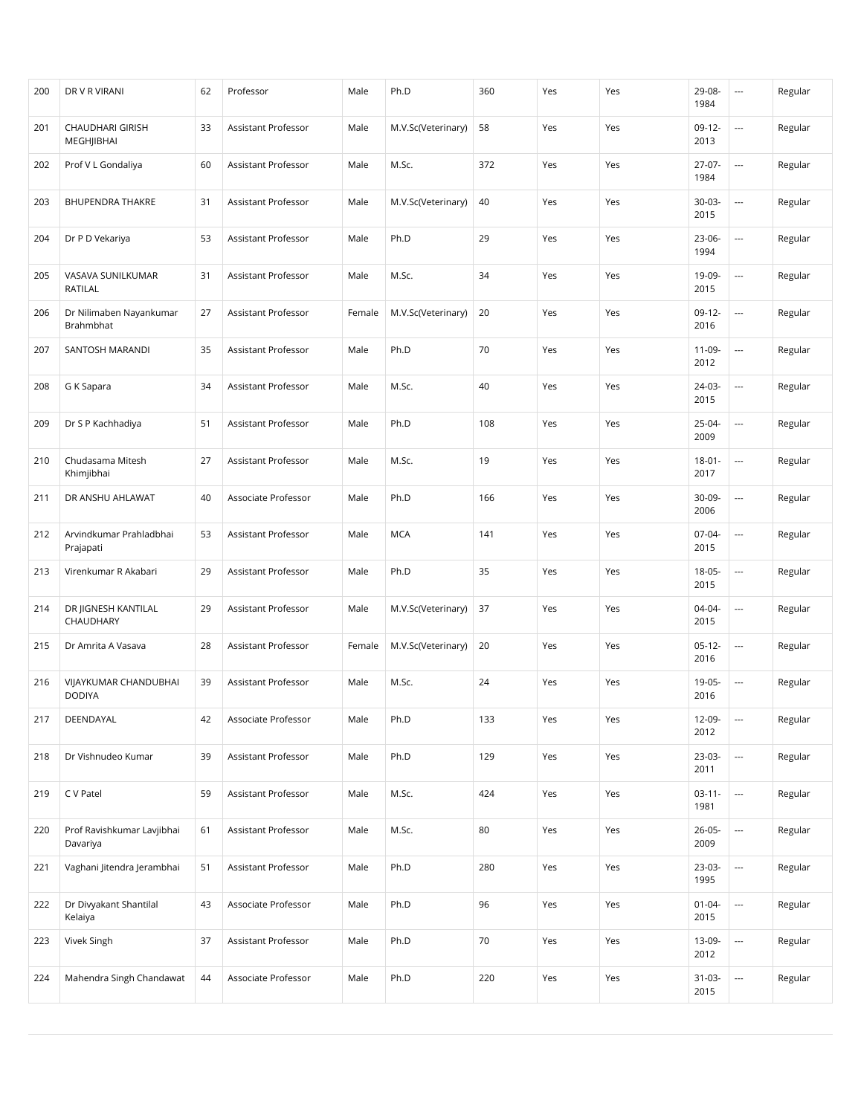| 200 | DR V R VIRANI                          | 62 | Professor                  | Male   | Ph.D               | 360 | Yes | Yes | 29-08-<br>1984      | $\overline{\phantom{a}}$ | Regular |
|-----|----------------------------------------|----|----------------------------|--------|--------------------|-----|-----|-----|---------------------|--------------------------|---------|
| 201 | <b>CHAUDHARI GIRISH</b><br>MEGHJIBHAI  | 33 | Assistant Professor        | Male   | M.V.Sc(Veterinary) | 58  | Yes | Yes | $09-12-$<br>2013    | $\overline{a}$           | Regular |
| 202 | Prof V L Gondaliya                     | 60 | Assistant Professor        | Male   | M.Sc.              | 372 | Yes | Yes | $27-07-$<br>1984    | $\overline{a}$           | Regular |
| 203 | <b>BHUPENDRA THAKRE</b>                | 31 | Assistant Professor        | Male   | M.V.Sc(Veterinary) | 40  | Yes | Yes | $30-03-$<br>2015    | $\overline{\phantom{a}}$ | Regular |
| 204 | Dr P D Vekariya                        | 53 | Assistant Professor        | Male   | Ph.D               | 29  | Yes | Yes | 23-06-<br>1994      | $\overline{a}$           | Regular |
| 205 | VASAVA SUNILKUMAR<br>RATILAL           | 31 | Assistant Professor        | Male   | M.Sc.              | 34  | Yes | Yes | 19-09-<br>2015      | $\overline{\phantom{a}}$ | Regular |
| 206 | Dr Nilimaben Nayankumar<br>Brahmbhat   | 27 | Assistant Professor        | Female | M.V.Sc(Veterinary) | 20  | Yes | Yes | $09-12-$<br>2016    | $\overline{\phantom{a}}$ | Regular |
| 207 | SANTOSH MARANDI                        | 35 | Assistant Professor        | Male   | Ph.D               | 70  | Yes | Yes | 11-09-<br>2012      | ---                      | Regular |
| 208 | G K Sapara                             | 34 | Assistant Professor        | Male   | M.Sc.              | 40  | Yes | Yes | 24-03-<br>2015      | $\overline{\phantom{a}}$ | Regular |
| 209 | Dr S P Kachhadiya                      | 51 | Assistant Professor        | Male   | Ph.D               | 108 | Yes | Yes | $25-04-$<br>2009    | $\overline{a}$           | Regular |
| 210 | Chudasama Mitesh<br>Khimjibhai         | 27 | Assistant Professor        | Male   | M.Sc.              | 19  | Yes | Yes | $18 - 01 -$<br>2017 | $\overline{\phantom{a}}$ | Regular |
| 211 | DR ANSHU AHLAWAT                       | 40 | Associate Professor        | Male   | Ph.D               | 166 | Yes | Yes | $30-09-$<br>2006    | $\overline{a}$           | Regular |
| 212 | Arvindkumar Prahladbhai<br>Prajapati   | 53 | Assistant Professor        | Male   | <b>MCA</b>         | 141 | Yes | Yes | 07-04-<br>2015      | $\overline{a}$           | Regular |
| 213 | Virenkumar R Akabari                   | 29 | Assistant Professor        | Male   | Ph.D               | 35  | Yes | Yes | $18-05-$<br>2015    | $\overline{\phantom{a}}$ | Regular |
| 214 | DR JIGNESH KANTILAL<br>CHAUDHARY       | 29 | Assistant Professor        | Male   | M.V.Sc(Veterinary) | 37  | Yes | Yes | 04-04-<br>2015      | $\overline{\phantom{a}}$ | Regular |
| 215 | Dr Amrita A Vasava                     | 28 | Assistant Professor        | Female | M.V.Sc(Veterinary) | 20  | Yes | Yes | $05-12-$<br>2016    | ---                      | Regular |
| 216 | VIJAYKUMAR CHANDUBHAI<br><b>DODIYA</b> | 39 | <b>Assistant Professor</b> | Male   | M.Sc.              | 24  | Yes | Yes | 19-05-<br>2016      | $\overline{\phantom{a}}$ | Regular |
| 217 | DEENDAYAL                              | 42 | Associate Professor        | Male   | Ph.D               | 133 | Yes | Yes | $12-09-$<br>2012    | $\overline{\phantom{a}}$ | Regular |
| 218 | Dr Vishnudeo Kumar                     | 39 | Assistant Professor        | Male   | Ph.D               | 129 | Yes | Yes | 23-03-<br>2011      | $\overline{\phantom{a}}$ | Regular |
| 219 | C V Patel                              | 59 | Assistant Professor        | Male   | M.Sc.              | 424 | Yes | Yes | $03-11-$<br>1981    | $\overline{\phantom{a}}$ | Regular |
| 220 | Prof Ravishkumar Lavjibhai<br>Davariya | 61 | Assistant Professor        | Male   | M.Sc.              | 80  | Yes | Yes | $26 - 05 -$<br>2009 |                          | Regular |
| 221 | Vaghani Jitendra Jerambhai             | 51 | Assistant Professor        | Male   | Ph.D               | 280 | Yes | Yes | 23-03-<br>1995      |                          | Regular |
| 222 | Dr Divyakant Shantilal<br>Kelaiya      | 43 | Associate Professor        | Male   | Ph.D               | 96  | Yes | Yes | $01 - 04 -$<br>2015 |                          | Regular |
| 223 | Vivek Singh                            | 37 | Assistant Professor        | Male   | Ph.D               | 70  | Yes | Yes | 13-09-<br>2012      | $\overline{\phantom{a}}$ | Regular |
| 224 | Mahendra Singh Chandawat               | 44 | Associate Professor        | Male   | Ph.D               | 220 | Yes | Yes | $31-03-$<br>2015    | ---                      | Regular |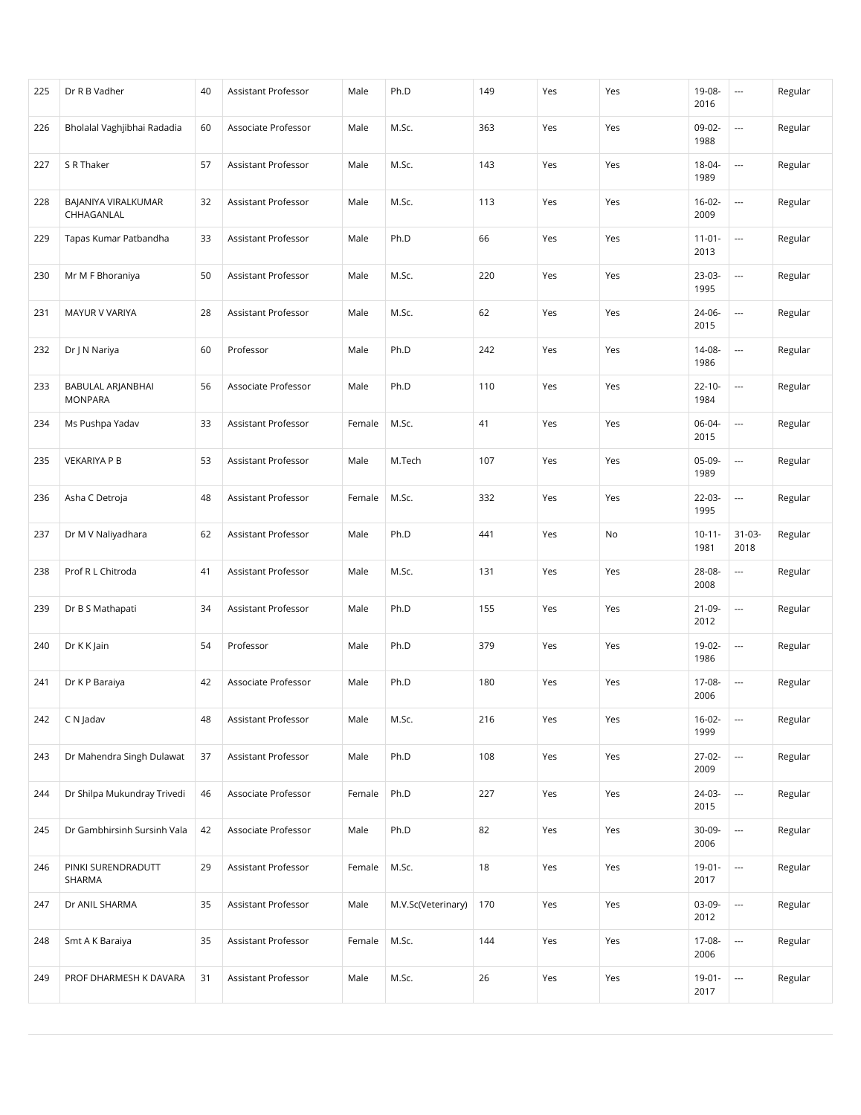| 225 | Dr R B Vadher                       | 40 | Assistant Professor | Male   | Ph.D               | 149 | Yes | Yes | 19-08-<br>2016      | $\overline{\phantom{a}}$ | Regular |
|-----|-------------------------------------|----|---------------------|--------|--------------------|-----|-----|-----|---------------------|--------------------------|---------|
| 226 | Bholalal Vaghjibhai Radadia         | 60 | Associate Professor | Male   | M.Sc.              | 363 | Yes | Yes | 09-02-<br>1988      | $\overline{a}$           | Regular |
| 227 | S R Thaker                          | 57 | Assistant Professor | Male   | M.Sc.              | 143 | Yes | Yes | 18-04-<br>1989      | $\overline{\phantom{a}}$ | Regular |
| 228 | BAJANIYA VIRALKUMAR<br>CHHAGANLAL   | 32 | Assistant Professor | Male   | M.Sc.              | 113 | Yes | Yes | $16-02-$<br>2009    | $\overline{a}$           | Regular |
| 229 | Tapas Kumar Patbandha               | 33 | Assistant Professor | Male   | Ph.D               | 66  | Yes | Yes | $11-01-$<br>2013    | $\overline{\phantom{a}}$ | Regular |
| 230 | Mr M F Bhoraniya                    | 50 | Assistant Professor | Male   | M.Sc.              | 220 | Yes | Yes | 23-03-<br>1995      | $\overline{\phantom{a}}$ | Regular |
| 231 | MAYUR V VARIYA                      | 28 | Assistant Professor | Male   | M.Sc.              | 62  | Yes | Yes | 24-06-<br>2015      | $\overline{\phantom{a}}$ | Regular |
| 232 | Dr J N Nariya                       | 60 | Professor           | Male   | Ph.D               | 242 | Yes | Yes | 14-08-<br>1986      | $\overline{\phantom{a}}$ | Regular |
| 233 | BABULAL ARJANBHAI<br><b>MONPARA</b> | 56 | Associate Professor | Male   | Ph.D               | 110 | Yes | Yes | $22 - 10 -$<br>1984 | $\overline{\phantom{a}}$ | Regular |
| 234 | Ms Pushpa Yadav                     | 33 | Assistant Professor | Female | M.Sc.              | 41  | Yes | Yes | 06-04-<br>2015      | $\overline{a}$           | Regular |
| 235 | <b>VEKARIYA P B</b>                 | 53 | Assistant Professor | Male   | M.Tech             | 107 | Yes | Yes | 05-09-<br>1989      | $\overline{\phantom{a}}$ | Regular |
| 236 | Asha C Detroja                      | 48 | Assistant Professor | Female | M.Sc.              | 332 | Yes | Yes | $22-03-$<br>1995    | $\overline{\phantom{a}}$ | Regular |
| 237 | Dr M V Naliyadhara                  | 62 | Assistant Professor | Male   | Ph.D               | 441 | Yes | No  | $10 - 11 -$<br>1981 | $31 - 03 -$<br>2018      | Regular |
| 238 | Prof R L Chitroda                   | 41 | Assistant Professor | Male   | M.Sc.              | 131 | Yes | Yes | 28-08-<br>2008      | $\overline{\phantom{a}}$ | Regular |
| 239 | Dr B S Mathapati                    | 34 | Assistant Professor | Male   | Ph.D               | 155 | Yes | Yes | 21-09-<br>2012      | $\overline{\phantom{a}}$ | Regular |
| 240 | Dr K K Jain                         | 54 | Professor           | Male   | Ph.D               | 379 | Yes | Yes | 19-02-<br>1986      | $\overline{\phantom{a}}$ | Regular |
| 241 | Dr K P Baraiya                      | 42 | Associate Professor | Male   | Ph.D               | 180 | Yes | Yes | 17-08-<br>2006      | $\overline{\phantom{a}}$ | Regular |
| 242 | C N Jadav                           | 48 | Assistant Professor | Male   | M.Sc.              | 216 | Yes | Yes | $16-02-$<br>1999    | $\overline{\phantom{a}}$ | Regular |
| 243 | Dr Mahendra Singh Dulawat           | 37 | Assistant Professor | Male   | Ph.D               | 108 | Yes | Yes | 27-02-<br>2009      |                          | Regular |
| 244 | Dr Shilpa Mukundray Trivedi         | 46 | Associate Professor | Female | Ph.D               | 227 | Yes | Yes | 24-03-<br>2015      |                          | Regular |
| 245 | Dr Gambhirsinh Sursinh Vala         | 42 | Associate Professor | Male   | Ph.D               | 82  | Yes | Yes | 30-09-<br>2006      |                          | Regular |
| 246 | PINKI SURENDRADUTT<br>SHARMA        | 29 | Assistant Professor | Female | M.Sc.              | 18  | Yes | Yes | $19-01 -$<br>2017   | $\overline{\phantom{a}}$ | Regular |
| 247 | Dr ANIL SHARMA                      | 35 | Assistant Professor | Male   | M.V.Sc(Veterinary) | 170 | Yes | Yes | 03-09-<br>2012      |                          | Regular |
| 248 | Smt A K Baraiya                     | 35 | Assistant Professor | Female | M.Sc.              | 144 | Yes | Yes | 17-08-<br>2006      | $\overline{\phantom{a}}$ | Regular |
| 249 | PROF DHARMESH K DAVARA              | 31 | Assistant Professor | Male   | M.Sc.              | 26  | Yes | Yes | $19-01 -$<br>2017   | ---                      | Regular |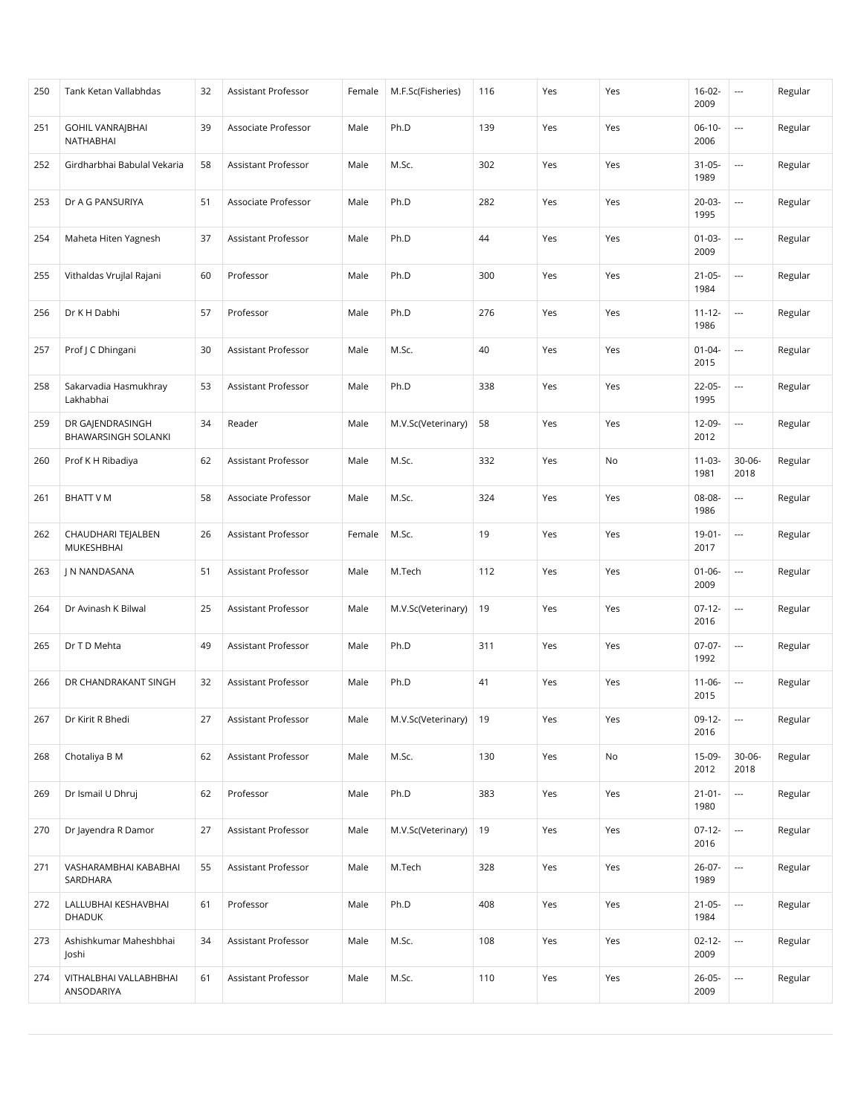| 250 | Tank Ketan Vallabhdas                   | 32 | Assistant Professor | Female | M.F.Sc(Fisheries)       | 116 | Yes | Yes | $16-02-$<br>2009    | $\hspace{0.05cm} \cdots$ | Regular |
|-----|-----------------------------------------|----|---------------------|--------|-------------------------|-----|-----|-----|---------------------|--------------------------|---------|
| 251 | <b>GOHIL VANRAJBHAI</b><br>NATHABHAI    | 39 | Associate Professor | Male   | Ph.D                    | 139 | Yes | Yes | $06-10-$<br>2006    | ---                      | Regular |
| 252 | Girdharbhai Babulal Vekaria             | 58 | Assistant Professor | Male   | M.Sc.                   | 302 | Yes | Yes | $31-05-$<br>1989    | ---                      | Regular |
| 253 | Dr A G PANSURIYA                        | 51 | Associate Professor | Male   | Ph.D                    | 282 | Yes | Yes | $20-03-$<br>1995    | ---                      | Regular |
| 254 | Maheta Hiten Yagnesh                    | 37 | Assistant Professor | Male   | Ph.D                    | 44  | Yes | Yes | $01-03-$<br>2009    | $\overline{\phantom{a}}$ | Regular |
| 255 | Vithaldas Vrujlal Rajani                | 60 | Professor           | Male   | Ph.D                    | 300 | Yes | Yes | $21 - 05 -$<br>1984 | ---                      | Regular |
| 256 | Dr K H Dabhi                            | 57 | Professor           | Male   | Ph.D                    | 276 | Yes | Yes | $11 - 12 -$<br>1986 | ---                      | Regular |
| 257 | Prof J C Dhingani                       | 30 | Assistant Professor | Male   | M.Sc.                   | 40  | Yes | Yes | $01 - 04 -$<br>2015 |                          | Regular |
| 258 | Sakarvadia Hasmukhray<br>Lakhabhai      | 53 | Assistant Professor | Male   | Ph.D                    | 338 | Yes | Yes | 22-05-<br>1995      | ---                      | Regular |
| 259 | DR GAJENDRASINGH<br>BHAWARSINGH SOLANKI | 34 | Reader              | Male   | M.V.Sc(Veterinary)      | 58  | Yes | Yes | 12-09-<br>2012      | ---                      | Regular |
| 260 | Prof K H Ribadiya                       | 62 | Assistant Professor | Male   | M.Sc.                   | 332 | Yes | No  | $11-03-$<br>1981    | $30 - 06 -$<br>2018      | Regular |
| 261 | BHATT V M                               | 58 | Associate Professor | Male   | M.Sc.                   | 324 | Yes | Yes | 08-08-<br>1986      | ---                      | Regular |
| 262 | CHAUDHARI TEJALBEN<br>MUKESHBHAI        | 26 | Assistant Professor | Female | M.Sc.                   | 19  | Yes | Yes | $19-01 -$<br>2017   | ---                      | Regular |
| 263 | J N NANDASANA                           | 51 | Assistant Professor | Male   | M.Tech                  | 112 | Yes | Yes | $01 - 06 -$<br>2009 | ---                      | Regular |
| 264 | Dr Avinash K Bilwal                     | 25 | Assistant Professor | Male   | M.V.Sc(Veterinary)      | 19  | Yes | Yes | $07-12-$<br>2016    | ---                      | Regular |
| 265 | Dr T D Mehta                            | 49 | Assistant Professor | Male   | Ph.D                    | 311 | Yes | Yes | 07-07-<br>1992      | $\overline{\phantom{a}}$ | Regular |
| 266 | DR CHANDRAKANT SINGH                    | 32 | Assistant Professor | Male   | Ph.D                    | 41  | Yes | Yes | $11 - 06 -$<br>2015 | ---                      | Regular |
| 267 | Dr Kirit R Bhedi                        | 27 | Assistant Professor | Male   | M.V.Sc(Veterinary)   19 |     | Yes | Yes | $09-12-$<br>2016    | $\overline{\phantom{a}}$ | Regular |
| 268 | Chotaliya B M                           | 62 | Assistant Professor | Male   | M.Sc.                   | 130 | Yes | No  | 15-09-<br>2012      | $30 - 06 -$<br>2018      | Regular |
| 269 | Dr Ismail U Dhruj                       | 62 | Professor           | Male   | Ph.D                    | 383 | Yes | Yes | $21 - 01 -$<br>1980 | ---                      | Regular |
| 270 | Dr Jayendra R Damor                     | 27 | Assistant Professor | Male   | M.V.Sc(Veterinary)      | 19  | Yes | Yes | $07-12-$<br>2016    | ---                      | Regular |
| 271 | VASHARAMBHAI KABABHAI<br>SARDHARA       | 55 | Assistant Professor | Male   | M.Tech                  | 328 | Yes | Yes | 26-07-<br>1989      |                          | Regular |
| 272 | LALLUBHAI KESHAVBHAI<br><b>DHADUK</b>   | 61 | Professor           | Male   | Ph.D                    | 408 | Yes | Yes | $21 - 05 -$<br>1984 |                          | Regular |
| 273 | Ashishkumar Maheshbhai<br>Joshi         | 34 | Assistant Professor | Male   | M.Sc.                   | 108 | Yes | Yes | $02 - 12 -$<br>2009 | ---                      | Regular |
| 274 | VITHALBHAI VALLABHBHAI<br>ANSODARIYA    | 61 | Assistant Professor | Male   | M.Sc.                   | 110 | Yes | Yes | 26-05-<br>2009      | ---                      | Regular |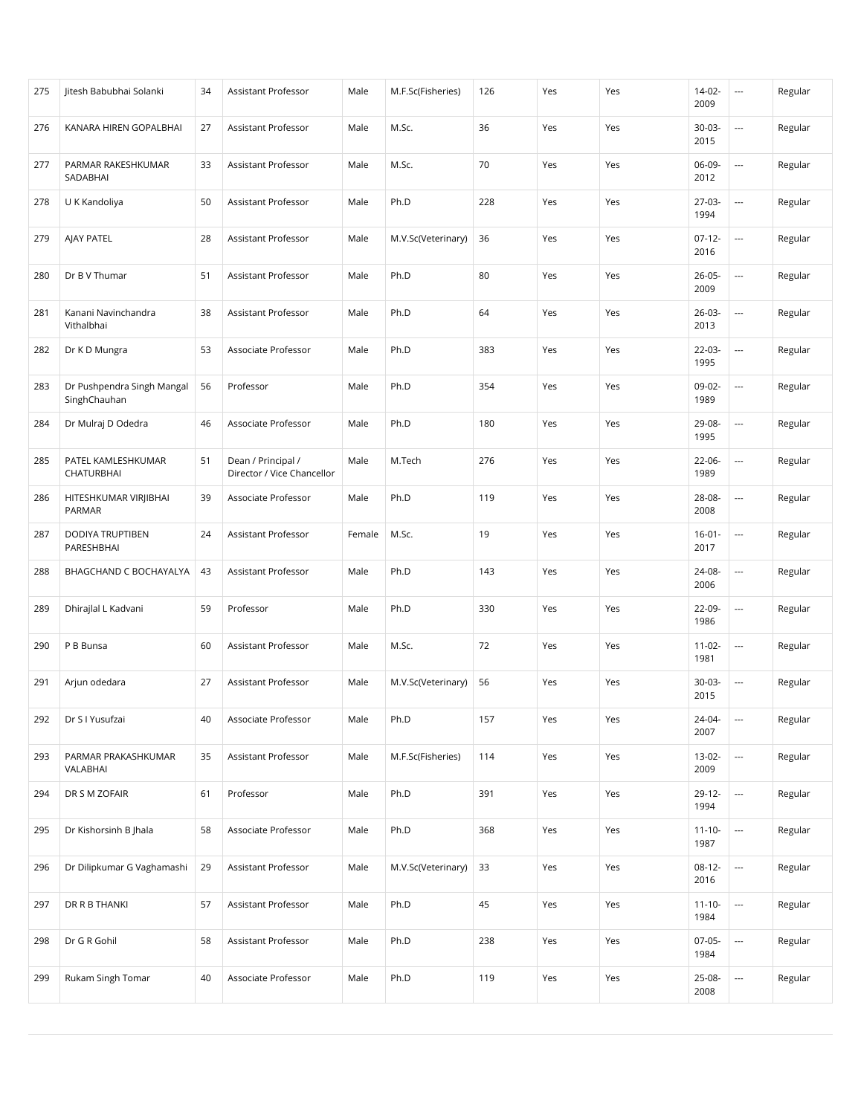| 275 | Jitesh Babubhai Solanki                    | 34 | Assistant Professor                              | Male   | M.F.Sc(Fisheries)  | 126 | Yes | Yes | $14-02-$<br>2009    | $\hspace{0.05cm} \cdots$ | Regular |
|-----|--------------------------------------------|----|--------------------------------------------------|--------|--------------------|-----|-----|-----|---------------------|--------------------------|---------|
| 276 | KANARA HIREN GOPALBHAI                     | 27 | Assistant Professor                              | Male   | M.Sc.              | 36  | Yes | Yes | $30-03-$<br>2015    | $\overline{a}$           | Regular |
| 277 | PARMAR RAKESHKUMAR<br>SADABHAI             | 33 | <b>Assistant Professor</b>                       | Male   | M.Sc.              | 70  | Yes | Yes | 06-09-<br>2012      | $\overline{\phantom{a}}$ | Regular |
| 278 | U K Kandoliya                              | 50 | Assistant Professor                              | Male   | Ph.D               | 228 | Yes | Yes | $27-03-$<br>1994    | $\overline{a}$           | Regular |
| 279 | AJAY PATEL                                 | 28 | <b>Assistant Professor</b>                       | Male   | M.V.Sc(Veterinary) | 36  | Yes | Yes | $07-12-$<br>2016    | $\overline{\phantom{a}}$ | Regular |
| 280 | Dr B V Thumar                              | 51 | Assistant Professor                              | Male   | Ph.D               | 80  | Yes | Yes | $26 - 05 -$<br>2009 | $\overline{\phantom{a}}$ | Regular |
| 281 | Kanani Navinchandra<br>Vithalbhai          | 38 | Assistant Professor                              | Male   | Ph.D               | 64  | Yes | Yes | $26-03-$<br>2013    | ---                      | Regular |
| 282 | Dr K D Mungra                              | 53 | Associate Professor                              | Male   | Ph.D               | 383 | Yes | Yes | 22-03-<br>1995      | $\overline{\phantom{a}}$ | Regular |
| 283 | Dr Pushpendra Singh Mangal<br>SinghChauhan | 56 | Professor                                        | Male   | Ph.D               | 354 | Yes | Yes | 09-02-<br>1989      | $\hspace{0.05cm} \ldots$ | Regular |
| 284 | Dr Mulraj D Odedra                         | 46 | Associate Professor                              | Male   | Ph.D               | 180 | Yes | Yes | 29-08-<br>1995      | $\overline{\phantom{a}}$ | Regular |
| 285 | PATEL KAMLESHKUMAR<br><b>CHATURBHAI</b>    | 51 | Dean / Principal /<br>Director / Vice Chancellor | Male   | M.Tech             | 276 | Yes | Yes | 22-06-<br>1989      | $\overline{\phantom{a}}$ | Regular |
| 286 | HITESHKUMAR VIRJIBHAI<br>PARMAR            | 39 | Associate Professor                              | Male   | Ph.D               | 119 | Yes | Yes | 28-08-<br>2008      | $\overline{\phantom{a}}$ | Regular |
| 287 | <b>DODIYA TRUPTIBEN</b><br>PARESHBHAI      | 24 | Assistant Professor                              | Female | M.Sc.              | 19  | Yes | Yes | $16 - 01 -$<br>2017 | $\overline{\phantom{a}}$ | Regular |
| 288 | BHAGCHAND C BOCHAYALYA                     | 43 | Assistant Professor                              | Male   | Ph.D               | 143 | Yes | Yes | 24-08-<br>2006      | $\overline{\phantom{a}}$ | Regular |
| 289 | Dhirajlal L Kadvani                        | 59 | Professor                                        | Male   | Ph.D               | 330 | Yes | Yes | 22-09-<br>1986      | $\overline{\phantom{a}}$ | Regular |
| 290 | P B Bunsa                                  | 60 | Assistant Professor                              | Male   | M.Sc.              | 72  | Yes | Yes | $11 - 02 -$<br>1981 | $\overline{\phantom{a}}$ | Regular |
| 291 | Arjun odedara                              | 27 | Assistant Professor                              | Male   | M.V.Sc(Veterinary) | 56  | Yes | Yes | $30-03-$<br>2015    | $\overline{\phantom{a}}$ | Regular |
| 292 | Dr S I Yusufzai                            | 40 | Associate Professor                              | Male   | Ph.D               | 157 | Yes | Yes | 24-04-<br>2007      | $\overline{\phantom{a}}$ | Regular |
| 293 | PARMAR PRAKASHKUMAR<br>VALABHAI            | 35 | Assistant Professor                              | Male   | M.F.Sc(Fisheries)  | 114 | Yes | Yes | 13-02-<br>2009      | ---                      | Regular |
| 294 | DR S M ZOFAIR                              | 61 | Professor                                        | Male   | Ph.D               | 391 | Yes | Yes | $29-12-$<br>1994    | $\overline{\phantom{a}}$ | Regular |
| 295 | Dr Kishorsinh B Jhala                      | 58 | Associate Professor                              | Male   | Ph.D               | 368 | Yes | Yes | $11 - 10 -$<br>1987 |                          | Regular |
| 296 | Dr Dilipkumar G Vaghamashi                 | 29 | Assistant Professor                              | Male   | M.V.Sc(Veterinary) | 33  | Yes | Yes | $08-12-$<br>2016    |                          | Regular |
| 297 | DR R B THANKI                              | 57 | Assistant Professor                              | Male   | Ph.D               | 45  | Yes | Yes | $11 - 10 -$<br>1984 |                          | Regular |
| 298 | Dr G R Gohil                               | 58 | Assistant Professor                              | Male   | Ph.D               | 238 | Yes | Yes | $07-05-$<br>1984    | $\overline{\phantom{a}}$ | Regular |
| 299 | Rukam Singh Tomar                          | 40 | Associate Professor                              | Male   | Ph.D               | 119 | Yes | Yes | 25-08-<br>2008      | $\overline{\phantom{a}}$ | Regular |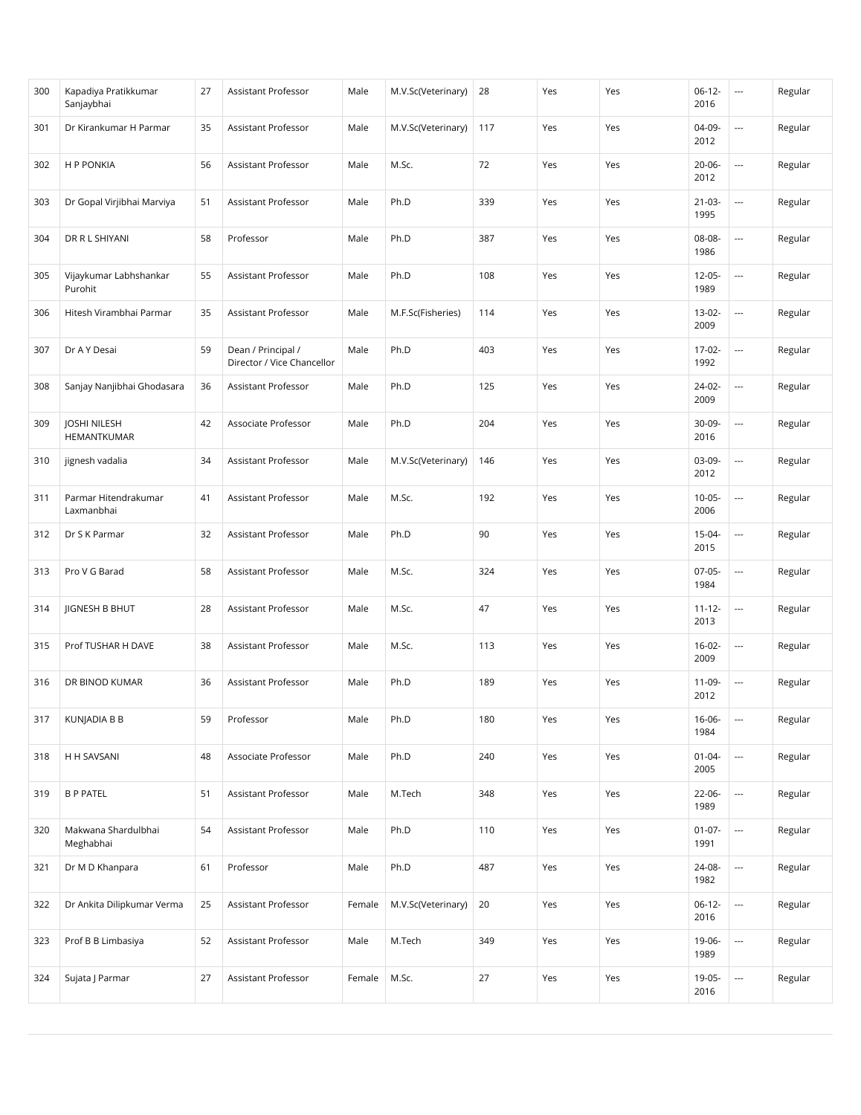| 300 | Kapadiya Pratikkumar<br>Sanjaybhai | 27 | Assistant Professor                              | Male   | M.V.Sc(Veterinary) | 28  | Yes | Yes | $06-12-$<br>2016    | $\overline{\phantom{a}}$ | Regular |
|-----|------------------------------------|----|--------------------------------------------------|--------|--------------------|-----|-----|-----|---------------------|--------------------------|---------|
| 301 | Dr Kirankumar H Parmar             | 35 | Assistant Professor                              | Male   | M.V.Sc(Veterinary) | 117 | Yes | Yes | 04-09-<br>2012      | $\overline{\phantom{a}}$ | Regular |
| 302 | H P PONKIA                         | 56 | Assistant Professor                              | Male   | M.Sc.              | 72  | Yes | Yes | $20 - 06 -$<br>2012 | $\overline{\phantom{a}}$ | Regular |
| 303 | Dr Gopal Virjibhai Marviya         | 51 | Assistant Professor                              | Male   | Ph.D               | 339 | Yes | Yes | $21 - 03 -$<br>1995 | $\overline{\phantom{a}}$ | Regular |
| 304 | DR R L SHIYANI                     | 58 | Professor                                        | Male   | Ph.D               | 387 | Yes | Yes | 08-08-<br>1986      | ---                      | Regular |
| 305 | Vijaykumar Labhshankar<br>Purohit  | 55 | Assistant Professor                              | Male   | Ph.D               | 108 | Yes | Yes | $12-05-$<br>1989    | $\hspace{0.05cm} \ldots$ | Regular |
| 306 | Hitesh Virambhai Parmar            | 35 | Assistant Professor                              | Male   | M.F.Sc(Fisheries)  | 114 | Yes | Yes | $13-02-$<br>2009    | $\overline{\phantom{a}}$ | Regular |
| 307 | Dr A Y Desai                       | 59 | Dean / Principal /<br>Director / Vice Chancellor | Male   | Ph.D               | 403 | Yes | Yes | $17-02-$<br>1992    | $\overline{\phantom{a}}$ | Regular |
| 308 | Sanjay Nanjibhai Ghodasara         | 36 | Assistant Professor                              | Male   | Ph.D               | 125 | Yes | Yes | 24-02-<br>2009      | $\overline{\phantom{a}}$ | Regular |
| 309 | <b>JOSHI NILESH</b><br>HEMANTKUMAR | 42 | Associate Professor                              | Male   | Ph.D               | 204 | Yes | Yes | 30-09-<br>2016      | $\overline{a}$           | Regular |
| 310 | jignesh vadalia                    | 34 | Assistant Professor                              | Male   | M.V.Sc(Veterinary) | 146 | Yes | Yes | 03-09-<br>2012      | $\overline{\phantom{a}}$ | Regular |
| 311 | Parmar Hitendrakumar<br>Laxmanbhai | 41 | Assistant Professor                              | Male   | M.Sc.              | 192 | Yes | Yes | $10-05-$<br>2006    | $\overline{\phantom{a}}$ | Regular |
| 312 | Dr S K Parmar                      | 32 | Assistant Professor                              | Male   | Ph.D               | 90  | Yes | Yes | 15-04-<br>2015      | ---                      | Regular |
| 313 | Pro V G Barad                      | 58 | Assistant Professor                              | Male   | M.Sc.              | 324 | Yes | Yes | $07-05-$<br>1984    | $\overline{\phantom{a}}$ | Regular |
| 314 | <b>JIGNESH B BHUT</b>              | 28 | Assistant Professor                              | Male   | M.Sc.              | 47  | Yes | Yes | $11 - 12 -$<br>2013 | $\overline{\phantom{a}}$ | Regular |
| 315 | Prof TUSHAR H DAVE                 | 38 | Assistant Professor                              | Male   | M.Sc.              | 113 | Yes | Yes | $16-02-$<br>2009    | $\overline{\phantom{a}}$ | Regular |
| 316 | DR BINOD KUMAR                     | 36 | Assistant Professor                              | Male   | Ph.D               | 189 | Yes | Yes | 11-09-<br>2012      | $\overline{\phantom{a}}$ | Regular |
| 317 | <b>KUNJADIA B B</b>                | 59 | Professor                                        | Male   | Ph.D               | 180 | Yes | Yes | $16-06-$<br>1984    | $\hspace{0.05cm} \ldots$ | Regular |
| 318 | H H SAVSANI                        | 48 | Associate Professor                              | Male   | Ph.D               | 240 | Yes | Yes | $01 - 04 -$<br>2005 | $\overline{\phantom{a}}$ | Regular |
| 319 | <b>B P PATEL</b>                   | 51 | Assistant Professor                              | Male   | M.Tech             | 348 | Yes | Yes | 22-06-<br>1989      | $\overline{\phantom{a}}$ | Regular |
| 320 | Makwana Shardulbhai<br>Meghabhai   | 54 | Assistant Professor                              | Male   | Ph.D               | 110 | Yes | Yes | $01-07-$<br>1991    |                          | Regular |
| 321 | Dr M D Khanpara                    | 61 | Professor                                        | Male   | Ph.D               | 487 | Yes | Yes | 24-08-<br>1982      | $\overline{\phantom{a}}$ | Regular |
| 322 | Dr Ankita Dilipkumar Verma         | 25 | Assistant Professor                              | Female | M.V.Sc(Veterinary) | 20  | Yes | Yes | $06-12-$<br>2016    |                          | Regular |
| 323 | Prof B B Limbasiya                 | 52 | Assistant Professor                              | Male   | M.Tech             | 349 | Yes | Yes | 19-06-<br>1989      |                          | Regular |
| 324 | Sujata J Parmar                    | 27 | Assistant Professor                              | Female | M.Sc.              | 27  | Yes | Yes | 19-05-<br>2016      | $\overline{\phantom{a}}$ | Regular |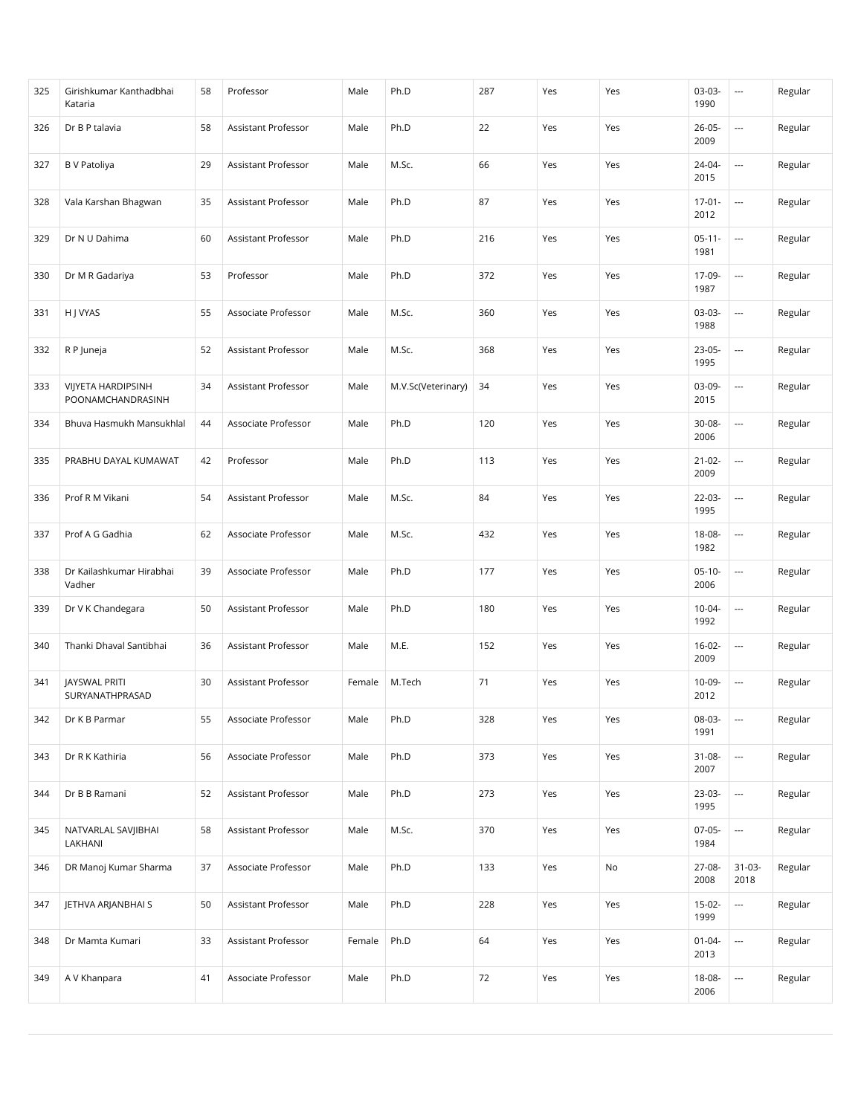| 325 | Girishkumar Kanthadbhai<br>Kataria             | 58 | Professor           | Male   | Ph.D               | 287 | Yes | Yes | $03-03-$<br>1990    | $\overline{\phantom{a}}$ | Regular |
|-----|------------------------------------------------|----|---------------------|--------|--------------------|-----|-----|-----|---------------------|--------------------------|---------|
| 326 | Dr B P talavia                                 | 58 | Assistant Professor | Male   | Ph.D               | 22  | Yes | Yes | $26 - 05 -$<br>2009 | $\overline{\phantom{a}}$ | Regular |
| 327 | <b>B</b> V Patoliya                            | 29 | Assistant Professor | Male   | M.Sc.              | 66  | Yes | Yes | 24-04-<br>2015      | $\overline{\phantom{a}}$ | Regular |
| 328 | Vala Karshan Bhagwan                           | 35 | Assistant Professor | Male   | Ph.D               | 87  | Yes | Yes | $17-01-$<br>2012    | $\overline{\phantom{a}}$ | Regular |
| 329 | Dr N U Dahima                                  | 60 | Assistant Professor | Male   | Ph.D               | 216 | Yes | Yes | $05 - 11 -$<br>1981 | $\overline{\phantom{a}}$ | Regular |
| 330 | Dr M R Gadariya                                | 53 | Professor           | Male   | Ph.D               | 372 | Yes | Yes | 17-09-<br>1987      | $\hspace{0.05cm} \ldots$ | Regular |
| 331 | H J VYAS                                       | 55 | Associate Professor | Male   | M.Sc.              | 360 | Yes | Yes | 03-03-<br>1988      | $\overline{\phantom{a}}$ | Regular |
| 332 | R P Juneja                                     | 52 | Assistant Professor | Male   | M.Sc.              | 368 | Yes | Yes | 23-05-<br>1995      | $\overline{\phantom{a}}$ | Regular |
| 333 | <b>VIJYETA HARDIPSINH</b><br>POONAMCHANDRASINH | 34 | Assistant Professor | Male   | M.V.Sc(Veterinary) | 34  | Yes | Yes | 03-09-<br>2015      | $\overline{\phantom{a}}$ | Regular |
| 334 | Bhuva Hasmukh Mansukhlal                       | 44 | Associate Professor | Male   | Ph.D               | 120 | Yes | Yes | 30-08-<br>2006      | $\hspace{0.05cm} \ldots$ | Regular |
| 335 | PRABHU DAYAL KUMAWAT                           | 42 | Professor           | Male   | Ph.D               | 113 | Yes | Yes | $21 - 02 -$<br>2009 | $\hspace{0.05cm} \ldots$ | Regular |
| 336 | Prof R M Vikani                                | 54 | Assistant Professor | Male   | M.Sc.              | 84  | Yes | Yes | 22-03-<br>1995      | $\overline{\phantom{a}}$ | Regular |
| 337 | Prof A G Gadhia                                | 62 | Associate Professor | Male   | M.Sc.              | 432 | Yes | Yes | 18-08-<br>1982      | $\overline{\phantom{a}}$ | Regular |
| 338 | Dr Kailashkumar Hirabhai<br>Vadher             | 39 | Associate Professor | Male   | Ph.D               | 177 | Yes | Yes | $05-10-$<br>2006    | $\hspace{0.05cm} \ldots$ | Regular |
| 339 | Dr V K Chandegara                              | 50 | Assistant Professor | Male   | Ph.D               | 180 | Yes | Yes | $10 - 04 -$<br>1992 | $\overline{\phantom{a}}$ | Regular |
| 340 | Thanki Dhaval Santibhai                        | 36 | Assistant Professor | Male   | M.E.               | 152 | Yes | Yes | $16-02-$<br>2009    | $\hspace{0.05cm} \ldots$ | Regular |
| 341 | <b>JAYSWAL PRITI</b><br>SURYANATHPRASAD        | 30 | Assistant Professor | Female | M.Tech             | 71  | Yes | Yes | 10-09-<br>2012      | $\overline{\phantom{a}}$ | Regular |
| 342 | Dr K B Parmar                                  | 55 | Associate Professor | Male   | Ph.D               | 328 | Yes | Yes | 08-03-<br>1991      | $\hspace{0.05cm} \ldots$ | Regular |
| 343 | Dr R K Kathiria                                | 56 | Associate Professor | Male   | Ph.D               | 373 | Yes | Yes | $31 - 08 -$<br>2007 | ---                      | Regular |
| 344 | Dr B B Ramani                                  | 52 | Assistant Professor | Male   | Ph.D               | 273 | Yes | Yes | 23-03-<br>1995      |                          | Regular |
| 345 | NATVARLAL SAVJIBHAI<br>LAKHANI                 | 58 | Assistant Professor | Male   | M.Sc.              | 370 | Yes | Yes | $07-05-$<br>1984    | $\overline{\phantom{a}}$ | Regular |
| 346 | DR Manoj Kumar Sharma                          | 37 | Associate Professor | Male   | Ph.D               | 133 | Yes | No  | 27-08-<br>2008      | $31-03-$<br>2018         | Regular |
| 347 | JETHVA ARJANBHAI S                             | 50 | Assistant Professor | Male   | Ph.D               | 228 | Yes | Yes | $15-02-$<br>1999    |                          | Regular |
| 348 | Dr Mamta Kumari                                | 33 | Assistant Professor | Female | Ph.D               | 64  | Yes | Yes | $01 - 04 -$<br>2013 |                          | Regular |
| 349 | A V Khanpara                                   | 41 | Associate Professor | Male   | Ph.D               | 72  | Yes | Yes | 18-08-<br>2006      | ---                      | Regular |